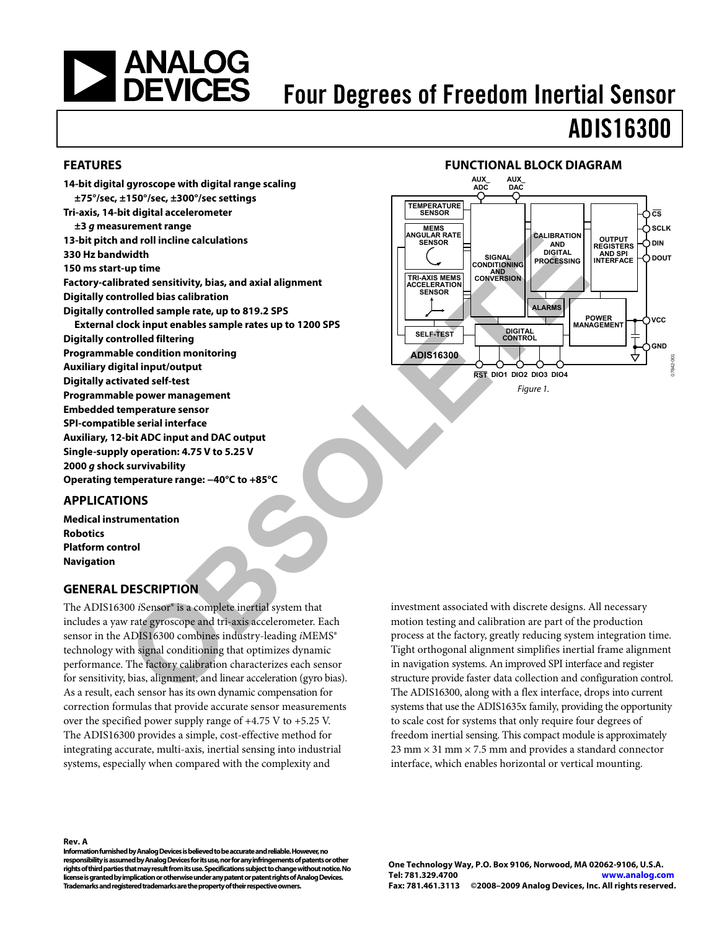# <span id="page-0-0"></span>**SANALOG<br>DEVICES**

# Four Degrees of Freedom Inertial Sensor

# ADIS16300

#### **FEATURES**

**14-bit digital gyroscope with digital range scaling ±75°/sec, ±150°/sec, ±300°/sec settings Tri-axis, 14-bit digital accelerometer ±3 g measurement range 13-bit pitch and roll incline calculations 330 Hz bandwidth 150 ms start-up time Factory-calibrated sensitivity, bias, and axial alignment Digitally controlled bias calibration Digitally controlled sample rate, up to 819.2 SPS External clock input enables sample rates up to 1200 SPS Digitally controlled filtering Programmable condition monitoring Auxiliary digital input/output Digitally activated self-test Programmable power management Embedded temperature sensor SPI-compatible serial interface Auxiliary, 12-bit ADC input and DAC output Single-supply operation: 4.75 V to 5.25 V 2000 g shock survivability Operating temperature range: −40°C to +85°C**  The Red or Constrainer and the state of the Solution of the Solution of the Solution of the Solution of the Solution of the Solution of the Solution of the Solution of the Solution of the Solution of the Solution of the So



#### **APPLICATIONS**

**Medical instrumentation Robotics Platform control Navigation** 

#### **GENERAL DESCRIPTION**

The ADIS16300 *i*Sensor® is a complete inertial system that includes a yaw rate gyroscope and tri-axis accelerometer. Each sensor in the ADIS16300 combines industry-leading *iMEMS*<sup>®</sup> technology with signal conditioning that optimizes dynamic performance. The factory calibration characterizes each sensor for sensitivity, bias, alignment, and linear acceleration (gyro bias). As a result, each sensor has its own dynamic compensation for correction formulas that provide accurate sensor measurements over the specified power supply range of +4.75 V to +5.25 V. The ADIS16300 provides a simple, cost-effective method for integrating accurate, multi-axis, inertial sensing into industrial systems, especially when compared with the complexity and

investment associated with discrete designs. All necessary motion testing and calibration are part of the production process at the factory, greatly reducing system integration time. Tight orthogonal alignment simplifies inertial frame alignment in navigation systems. An improved SPI interface and register structure provide faster data collection and configuration control. The ADIS16300, along with a flex interface, drops into current systems that use the ADIS1635x family, providing the opportunity to scale cost for systems that only require four degrees of freedom inertial sensing. This compact module is approximately  $23$  mm  $\times$  31 mm  $\times$  7.5 mm and provides a standard connector interface, which enables horizontal or vertical mounting.

#### **Rev. A**

**Information furnished by Analog Devices is believed to be accurate and reliable. However, no responsibility is assumed by Analog Devices for its use, nor for any infringements of patents or other rights of third parties that may result from its use. Specifications subject to change without notice. No license is granted by implication or otherwise under any patent or patent rights of Analog Devices. Trademarks and registered trademarks are the property of their respective owners.**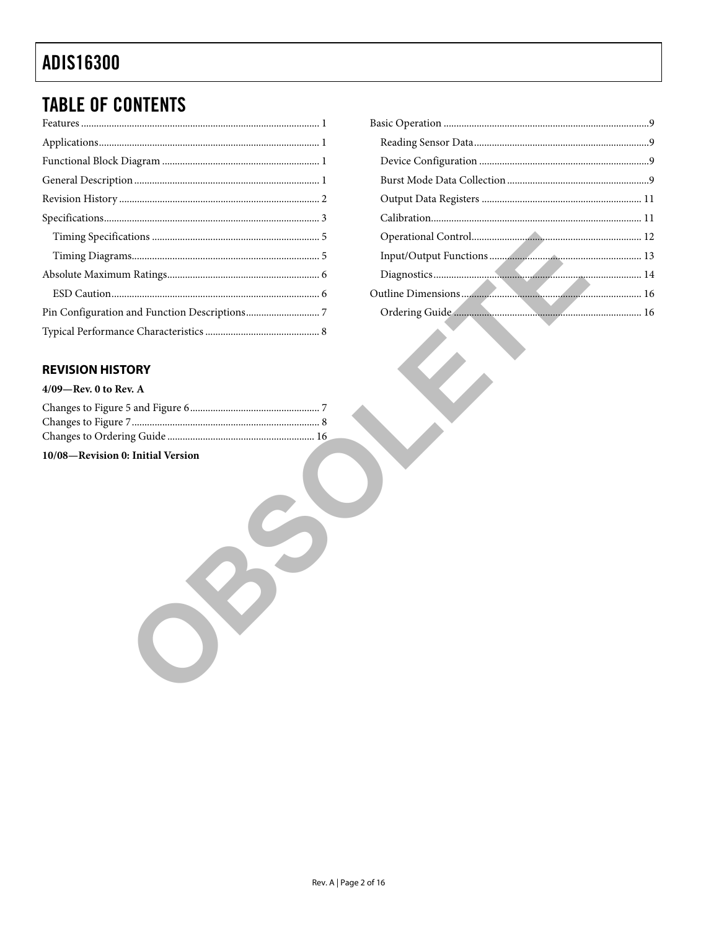# <span id="page-1-0"></span>**TABLE OF CONTENTS**

#### **REVISION HISTORY**

| $4/09$ —Rev. 0 to Rev. A |  |  |  |
|--------------------------|--|--|--|
|                          |  |  |  |

| 10/08-Revision 0: Initial Version |  |
|-----------------------------------|--|
|                                   |  |
|                                   |  |
|                                   |  |
|                                   |  |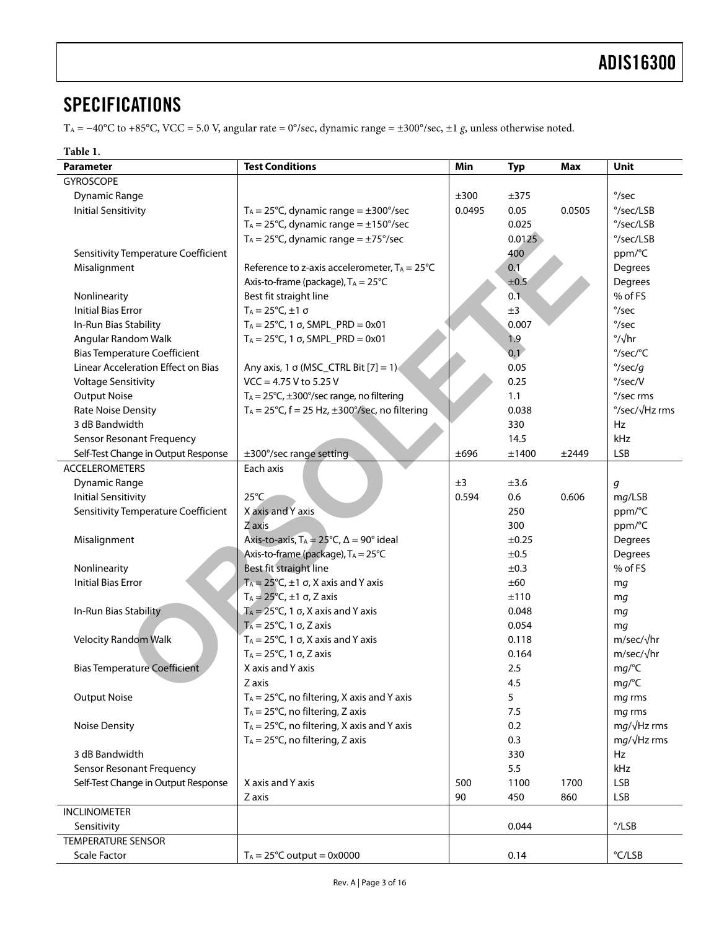# <span id="page-2-0"></span>**SPECIFICATIONS**

TA = −40°C to +85°C, VCC = 5.0 V, angular rate = 0°/sec, dynamic range = ±300°/sec, ±1 *g*, unless otherwise noted.

#### **Table 1.**

<span id="page-2-1"></span>

| <b>Parameter</b>                    | <b>Test Conditions</b><br>Min<br><b>Max</b><br><b>Typ</b>               |        |        |        | Unit                    |
|-------------------------------------|-------------------------------------------------------------------------|--------|--------|--------|-------------------------|
| <b>GYROSCOPE</b>                    |                                                                         |        |        |        |                         |
| <b>Dynamic Range</b>                |                                                                         | ±300   | ±375   |        | $\degree$ /sec          |
| <b>Initial Sensitivity</b>          | $T_A = 25^{\circ}C$ , dynamic range = $\pm 300^{\circ}$ /sec            | 0.0495 | 0.05   | 0.0505 | °/sec/LSB               |
|                                     | $T_A = 25^{\circ}$ C, dynamic range = $\pm 150^{\circ}$ /sec            |        | 0.025  |        | °/sec/LSB               |
|                                     | $T_A = 25^{\circ}C$ , dynamic range = $\pm 75^{\circ}$ /sec             |        | 0.0125 |        | °/sec/LSB               |
| Sensitivity Temperature Coefficient |                                                                         |        | 400    |        | ppm/°C                  |
| Misalignment                        | Reference to z-axis accelerometer, $T_A = 25^{\circ}C$                  |        | 0.1    |        | Degrees                 |
|                                     | Axis-to-frame (package), TA = 25°C                                      |        | ±0.5   |        | Degrees                 |
| Nonlinearity                        | Best fit straight line                                                  |        | 0.1    |        | % of FS                 |
| <b>Initial Bias Error</b>           | $T_A = 25^\circ C, \pm 1 \sigma$                                        |        | ±3     |        | $\degree$ /sec          |
| In-Run Bias Stability               | $T_A = 25^{\circ}$ C, 1 σ, SMPL_PRD = 0x01                              |        | 0.007  |        | $\degree$ /sec          |
| Angular Random Walk                 | $T_A = 25^{\circ}$ C, 1 σ, SMPL_PRD = 0x01                              |        | 1.9    |        | $\degree$ / $\sqrt{hr}$ |
| <b>Bias Temperature Coefficient</b> |                                                                         |        | 0.1    |        | °/sec/°C                |
| Linear Acceleration Effect on Bias  | Any axis, 1 $\sigma$ (MSC_CTRL Bit [7] = 1)                             |        | 0.05   |        | $\degree$ /sec/g        |
| <b>Voltage Sensitivity</b>          | $VCC = 4.75 V$ to 5.25 V                                                |        | 0.25   |        | $\degree$ /sec/V        |
| <b>Output Noise</b>                 | $T_A = 25^{\circ}C$ , $\pm 300^{\circ}$ /sec range, no filtering        |        | 1.1    |        | °/sec rms               |
| <b>Rate Noise Density</b>           | $T_A = 25^{\circ}C$ , $f = 25$ Hz, $\pm 300^{\circ}$ /sec, no filtering |        | 0.038  |        | °/sec/√Hz rms           |
| 3 dB Bandwidth                      |                                                                         |        | 330    |        | Hz                      |
| <b>Sensor Resonant Frequency</b>    |                                                                         |        | 14.5   |        | kHz                     |
| Self-Test Change in Output Response | ±300°/sec range setting                                                 | ±696   | ±1400  | ±2449  | LSB                     |
| <b>ACCELEROMETERS</b>               | Each axis                                                               |        |        |        |                         |
| <b>Dynamic Range</b>                |                                                                         | ±3     | ±3.6   |        | g                       |
| <b>Initial Sensitivity</b>          | $25^{\circ}$ C                                                          | 0.594  | 0.6    | 0.606  | mg/LSB                  |
| Sensitivity Temperature Coefficient | X axis and Y axis                                                       |        | 250    |        | ppm/°C                  |
|                                     | Z axis                                                                  |        | 300    |        | ppm/°C                  |
| Misalignment                        | Axis-to-axis, $T_A = 25^{\circ}C$ , $\Delta = 90^{\circ}$ ideal         |        | ±0.25  |        | Degrees                 |
|                                     | Axis-to-frame (package), TA = 25°C                                      |        | ±0.5   |        | Degrees                 |
| Nonlinearity                        | Best fit straight line                                                  |        | ±0.3   |        | % of FS                 |
| <b>Initial Bias Error</b>           | $T_A = 25^{\circ}C$ , ±1 $\sigma$ , X axis and Y axis                   |        | ±60    |        | mg                      |
|                                     | $T_A = 25^{\circ}C, \pm 1 \sigma, Z$ axis                               |        | ±110   |        | mg                      |
| In-Run Bias Stability               | $T_A = 25^{\circ}$ C, 1 $\sigma$ , X axis and Y axis                    |        | 0.048  |        | mg                      |
|                                     | $T_A = 25^{\circ}$ C, 1 σ, Z axis                                       |        | 0.054  |        | mq                      |
| <b>Velocity Random Walk</b>         | $T_A = 25^{\circ}C$ , 1 $\sigma$ , X axis and Y axis                    |        | 0.118  |        | m/sec/√hr               |
|                                     | $T_A = 25$ °C, 1 σ, Z axis                                              |        | 0.164  |        | m/sec/√hr               |
| <b>Bias Temperature Coefficient</b> | X axis and Y axis                                                       |        | 2.5    |        | mg/°C                   |
|                                     | Z axis                                                                  |        | 4.5    |        | mg/°C                   |
| <b>Output Noise</b>                 | $T_A = 25^{\circ}C$ , no filtering, X axis and Y axis                   |        | 5      |        | mg rms                  |
|                                     | $T_A = 25^{\circ}C$ , no filtering, Z axis                              |        | 7.5    |        | mg rms                  |
| <b>Noise Density</b>                | $T_A = 25^{\circ}C$ , no filtering, X axis and Y axis                   |        | 0.2    |        | $mg/\sqrt{Hz}$ rms      |
|                                     | $T_A = 25^{\circ}C$ , no filtering, Z axis                              |        | 0.3    |        | $mg/\sqrt{Hz}$ rms      |
| 3 dB Bandwidth                      |                                                                         |        | 330    |        | Hz                      |
| Sensor Resonant Frequency           |                                                                         |        | 5.5    |        | kHz                     |
| Self-Test Change in Output Response | X axis and Y axis                                                       | 500    | 1100   | 1700   | <b>LSB</b>              |
|                                     | Z axis                                                                  | 90     | 450    | 860    | <b>LSB</b>              |
| <b>INCLINOMETER</b>                 |                                                                         |        |        |        |                         |
| Sensitivity                         |                                                                         |        | 0.044  |        | $^{\circ}$ /LSB         |
| <b>TEMPERATURE SENSOR</b>           |                                                                         |        |        |        |                         |
| <b>Scale Factor</b>                 | $T_A = 25^{\circ}C$ output = 0x0000                                     |        | 0.14   |        | °C/LSB                  |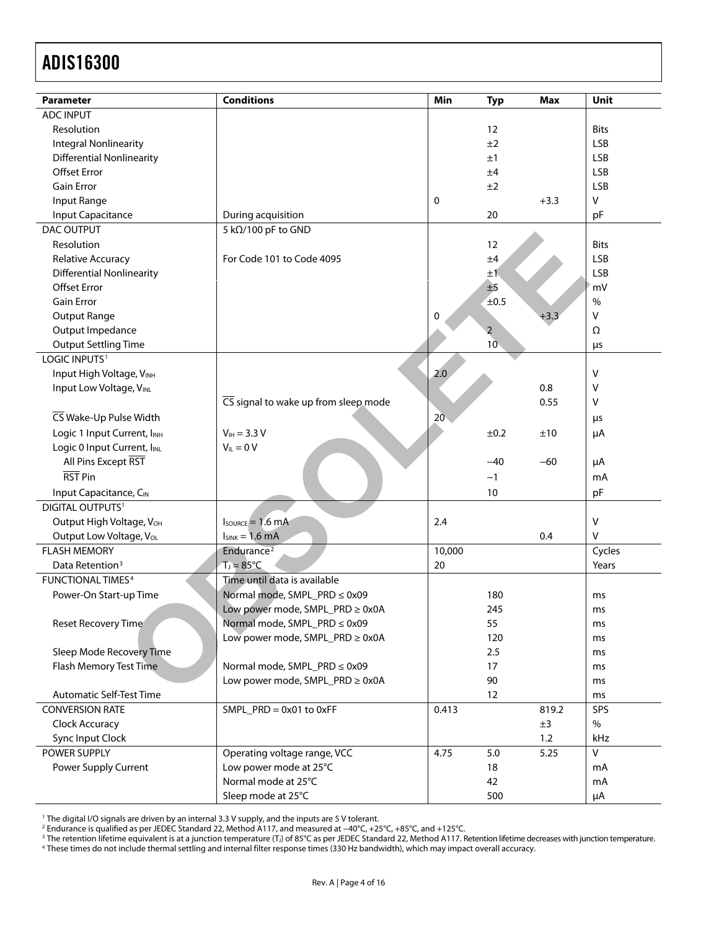| <b>Parameter</b>                                           | <b>Conditions</b>                    | Min    | <b>Typ</b>     | <b>Max</b> | Unit        |
|------------------------------------------------------------|--------------------------------------|--------|----------------|------------|-------------|
| <b>ADC INPUT</b>                                           |                                      |        |                |            |             |
| Resolution                                                 |                                      |        | 12             |            | <b>Bits</b> |
| <b>Integral Nonlinearity</b>                               |                                      |        | ±2             |            | <b>LSB</b>  |
| <b>Differential Nonlinearity</b>                           |                                      |        | ±1             |            | <b>LSB</b>  |
| <b>Offset Error</b>                                        |                                      |        | ±4             |            | <b>LSB</b>  |
| <b>Gain Error</b>                                          |                                      |        | ±2             |            | <b>LSB</b>  |
| Input Range                                                |                                      | 0      |                | $+3.3$     | $\vee$      |
| Input Capacitance                                          | During acquisition                   |        | 20             |            | pF          |
| DAC OUTPUT                                                 | 5 kΩ/100 pF to GND                   |        |                |            |             |
| Resolution                                                 |                                      |        | 12             |            | <b>Bits</b> |
| <b>Relative Accuracy</b>                                   | For Code 101 to Code 4095            |        | ±4             |            | <b>LSB</b>  |
| <b>Differential Nonlinearity</b>                           |                                      |        | ±1             |            | <b>LSB</b>  |
| <b>Offset Error</b>                                        |                                      |        | ±5             |            | mV          |
| <b>Gain Error</b>                                          |                                      |        | ±0.5           |            | $\%$        |
| Output Range                                               |                                      | 0      |                | $+3.3$     | $\vee$      |
| Output Impedance                                           |                                      |        | $\overline{2}$ |            | Ω           |
| <b>Output Settling Time</b>                                |                                      |        | 10             |            | μs          |
| LOGIC INPUTS <sup>1</sup>                                  |                                      |        |                |            |             |
| Input High Voltage, VINH                                   |                                      | 2.0    |                |            | V           |
| Input Low Voltage, VINL                                    |                                      |        |                | 0.8        | v           |
|                                                            | CS signal to wake up from sleep mode |        |                | 0.55       | v           |
| CS Wake-Up Pulse Width                                     |                                      | 20     |                |            | μs          |
|                                                            |                                      |        |                |            |             |
| Logic 1 Input Current, IINH<br>Logic 0 Input Current, IINL | $V_{IH} = 3.3 V$<br>$V_{IL} = 0 V$   |        | ±0.2           | ±10        | μA          |
| All Pins Except RST                                        |                                      |        | $-40$          |            |             |
| RST Pin                                                    |                                      |        |                | $-60$      | μA          |
|                                                            |                                      |        | $-1$           |            | mA          |
| Input Capacitance, CIN                                     |                                      |        | 10             |            | pF          |
| DIGITAL OUTPUTS <sup>1</sup>                               |                                      |        |                |            |             |
| Output High Voltage, VOH                                   | $I_{\text{SOWRCE}} = 1.6 \text{ mA}$ | 2.4    |                |            | V           |
| Output Low Voltage, VoL                                    | $I_{SINK} = 1.6 mA$                  |        |                | 0.4        | V           |
| <b>FLASH MEMORY</b>                                        | Endurance <sup>2</sup>               | 10,000 |                |            | Cycles      |
| Data Retention <sup>3</sup>                                | $T_J = 85^{\circ}C$                  | 20     |                |            | Years       |
| <b>FUNCTIONAL TIMES4</b>                                   | Time until data is available         |        |                |            |             |
| Power-On Start-up Time                                     | Normal mode, SMPL_PRD ≤ 0x09         |        | 180            |            | ms          |
|                                                            | Low power mode, SMPL_PRD ≥ 0x0A      |        | 245            |            | ms          |
| Reset Recovery Time                                        | Normal mode, SMPL_PRD ≤ 0x09         |        | 55             |            | ms          |
|                                                            | Low power mode, SMPL_PRD ≥ 0x0A      |        | 120            |            | ms          |
| Sleep Mode Recovery Time                                   |                                      |        | 2.5            |            | ms          |
| Flash Memory Test Time                                     | Normal mode, SMPL_PRD ≤ 0x09         |        | 17             |            | ms          |
|                                                            | Low power mode, SMPL_PRD ≥ 0x0A      |        | 90             |            | ms          |
| Automatic Self-Test Time                                   |                                      |        | 12             |            | ms          |
| <b>CONVERSION RATE</b>                                     | $SMPL_PRD = 0x01$ to $0xFF$          | 0.413  |                | 819.2      | SPS         |
| Clock Accuracy                                             |                                      |        |                | ±3         | $\%$        |
| Sync Input Clock                                           |                                      |        |                | 1.2        | kHz         |
| POWER SUPPLY                                               | Operating voltage range, VCC         | 4.75   | 5.0            | 5.25       | $\vee$      |
| Power Supply Current                                       | Low power mode at 25°C               |        | 18             |            | mA          |
|                                                            | Normal mode at 25°C                  |        | 42             |            | mA          |
|                                                            | Sleep mode at 25°C                   |        | 500            |            | μA          |

1 The digital I/O signals are driven by an internal 3.3 V supply, and the inputs are 5 V tolerant.<br><sup>2</sup> Endurance is qualified as per JEDEC Standard 22, Method A117, and measured at −40°C, +25°C, +85°C, and +125°C.<br><sup>3</sup> The

<sup>3</sup> The retention lifetime equivalent is at a junction temperature (T.) of 85°C as per JEDEC Standard 22, Method A117. Retention lifetime decreases with junction temperature.<br><sup>4</sup> These times do not include thermal settling

Rev. A | Page 4 of 16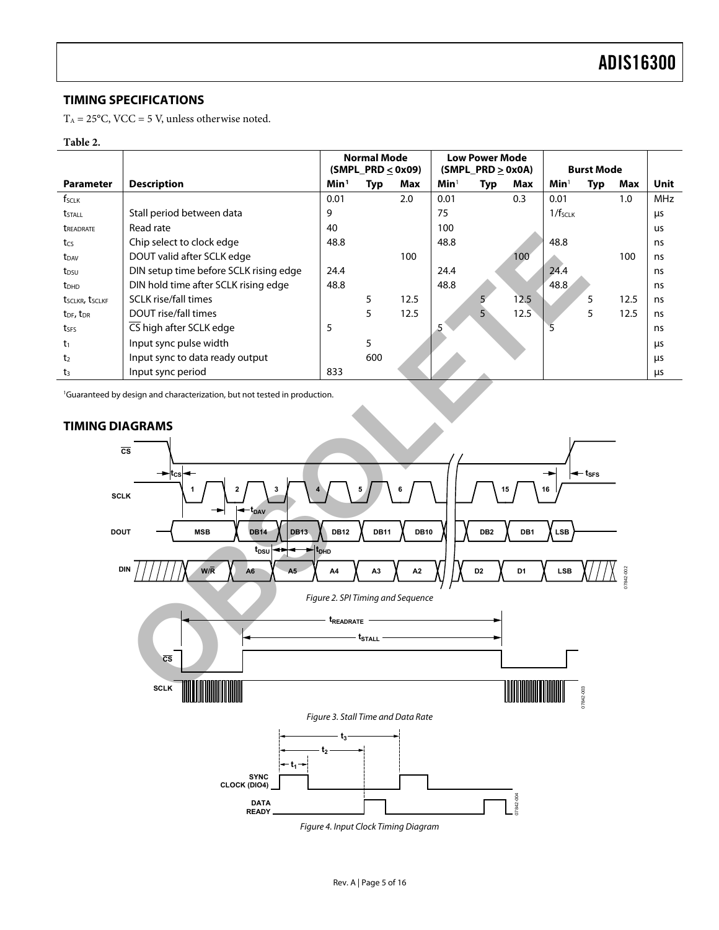#### <span id="page-4-0"></span>**TIMING SPECIFICATIONS**

 $T_A = 25$ °C, VCC = 5 V, unless otherwise noted.

#### **Table 2.**

<span id="page-4-1"></span>

|                                   |                                        |                  | <b>Normal Mode</b><br>$(SMPI_PRD \leq 0x09)$ |      |                  | Low Power Mode<br>$(SMPI_PRD \geq 0x0A)$ |      |                       | <b>Burst Mode</b> |      |            |
|-----------------------------------|----------------------------------------|------------------|----------------------------------------------|------|------------------|------------------------------------------|------|-----------------------|-------------------|------|------------|
| <b>Parameter</b>                  | <b>Description</b>                     | Min <sup>1</sup> | Typ                                          | Max  | Min <sup>1</sup> | Typ                                      | Max  | Min <sup>1</sup>      | Typ               | Max  | Unit       |
| $f_{SCLK}$                        |                                        | 0.01             |                                              | 2.0  | 0.01             |                                          | 0.3  | 0.01                  |                   | 1.0  | <b>MHz</b> |
| tstall                            | Stall period between data              | 9                |                                              |      | 75               |                                          |      | $1/f$ <sub>SCLK</sub> |                   |      | μs         |
| <b><i>TREADRATE</i></b>           | Read rate                              | 40               |                                              |      | 100              |                                          |      |                       |                   |      | <b>us</b>  |
| tcs                               | Chip select to clock edge              | 48.8             |                                              |      | 48.8             |                                          |      | 48.8                  |                   |      | ns         |
| $t_{DAV}$                         | DOUT valid after SCLK edge             |                  |                                              | 100  |                  |                                          | 100  |                       |                   | 100  | ns         |
| t <sub>DSU</sub>                  | DIN setup time before SCLK rising edge | 24.4             |                                              |      | 24.4             |                                          |      | 24.4                  |                   |      | ns         |
| <b>t</b> <sub>DHD</sub>           | DIN hold time after SCLK rising edge   | 48.8             |                                              |      | 48.8             |                                          |      | 48.8                  |                   |      | ns         |
| tsclkr, tsclkf                    | <b>SCLK</b> rise/fall times            |                  | 5                                            | 12.5 |                  | 5                                        | 12.5 |                       | 5                 | 12.5 | ns         |
| t <sub>DF</sub> , t <sub>DR</sub> | DOUT rise/fall times                   |                  | 5                                            | 12.5 |                  |                                          | 12.5 |                       | 5                 | 12.5 | ns         |
| tses                              | CS high after SCLK edge                | 5                |                                              |      |                  |                                          |      |                       |                   |      | ns         |
| $t_1$                             | Input sync pulse width                 |                  | 5                                            |      |                  |                                          |      |                       |                   |      | μs         |
| t <sub>2</sub>                    | Input sync to data ready output        |                  | 600                                          |      |                  |                                          |      |                       |                   |      | μs         |
| t3                                | Input sync period                      | 833              |                                              |      |                  |                                          |      |                       |                   |      | μs         |

1 Guaranteed by design and characterization, but not tested in production.



#### **TIMING DIAGRAMS**

<span id="page-4-2"></span>Figure 4. Input Clock Timing Diagram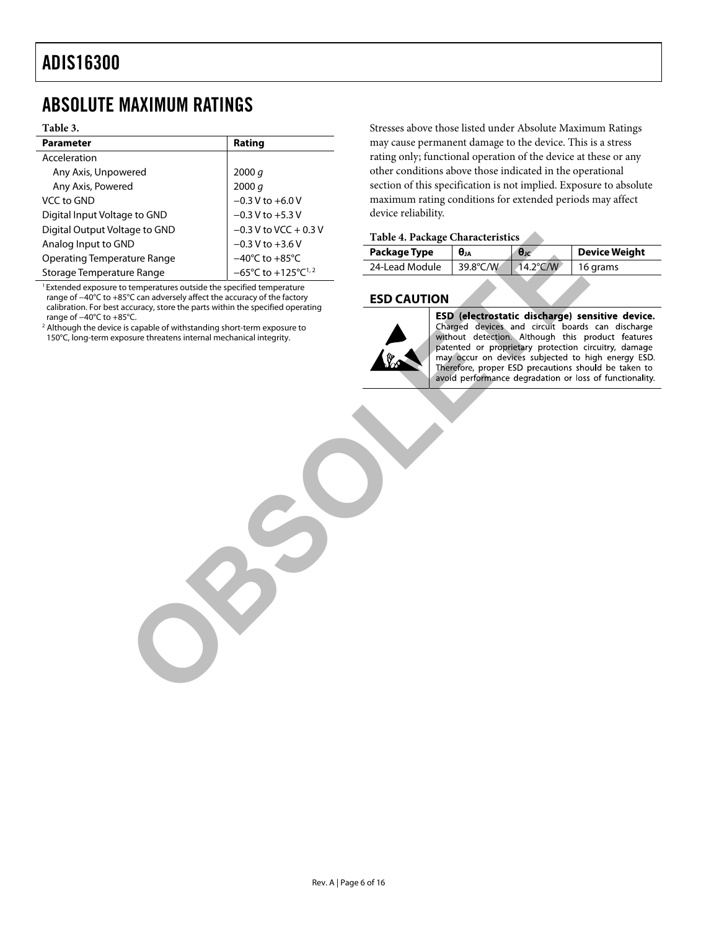# <span id="page-5-0"></span>ABSOLUTE MAXIMUM RATINGS

#### **Table 3.**

| <b>Parameter</b>              | Rating                                             |
|-------------------------------|----------------------------------------------------|
| Acceleration                  |                                                    |
| Any Axis, Unpowered           | 2000 $q$                                           |
| Any Axis, Powered             | 2000 q                                             |
| VCC to GND                    | $-0.3 V$ to $+6.0 V$                               |
| Digital Input Voltage to GND  | $-0.3$ V to $+5.3$ V                               |
| Digital Output Voltage to GND | $-0.3$ V to VCC + 0.3 V                            |
| Analog Input to GND           | $-0.3$ V to $+3.6$ V                               |
| Operating Temperature Range   | $-40^{\circ}$ C to $+85^{\circ}$ C                 |
| Storage Temperature Range     | $-65^{\circ}$ C to $+125^{\circ}$ C <sup>1,2</sup> |

<sup>1</sup> Extended exposure to temperatures outside the specified temperature range of −40°C to +85°C can adversely affect the accuracy of the factory calibration. For best accuracy, store the parts within the specified operating range of −40°C to +85°C.

<sup>2</sup> Although the device is capable of withstanding short-term exposure to 150°C, long-term exposure threatens internal mechanical integrity.

Stresses above those listed under Absolute Maximum Ratings may cause permanent damage to the device. This is a stress rating only; functional operation of the device at these or any other conditions above those indicated in the operational section of this specification is not implied. Exposure to absolute maximum rating conditions for extended periods may affect device reliability.

#### **Table 4. Package Characteristics**

| Package Type   | θи          | $\theta$ | Device Weight |
|----------------|-------------|----------|---------------|
| 24-Lead Module | 39.8 $°C/W$ | 14.2°C/W | 16 grams      |

#### **ESD CAUTION**



Solution and the state of the state of the state of the state of the state of the state of the state of the state of the state of the state of the state of the state of the state of the state of the state of the state of t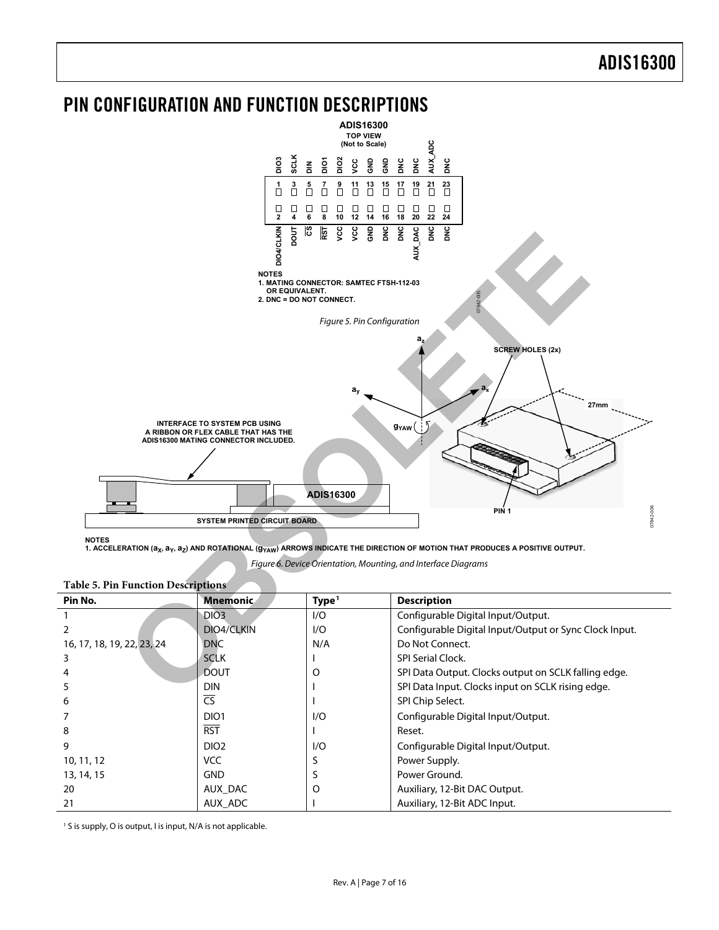### <span id="page-6-0"></span>PIN CONFIGURATION AND FUNCTION DESCRIPTIONS



<span id="page-6-1"></span>

NOTES<br>1. ACCELERATION (a<sub>X</sub>, a<sub>Y</sub>, a<sub>Z</sub>) AND ROTATIONAL (g<sub>YAW</sub>) ARROWS INDICATE THE DIRECTION OF MOTION THAT PRODUCES A POSITIVE OUTPUT.

Figure 6. Device Orientation, Mounting, and Interface Diagrams

| Pin No.                    | <b>Mnemonic</b>        | Type <sup>1</sup> | <b>Description</b>                                     |
|----------------------------|------------------------|-------------------|--------------------------------------------------------|
|                            | DIO <sub>3</sub>       | 1/O               | Configurable Digital Input/Output.                     |
|                            | DIO4/CLKIN             | 1/O               | Configurable Digital Input/Output or Sync Clock Input. |
| 16, 17, 18, 19, 22, 23, 24 | <b>DNC</b>             | N/A               | Do Not Connect.                                        |
| 3                          | <b>SCLK</b>            |                   | <b>SPI Serial Clock.</b>                               |
|                            | <b>DOUT</b>            | O                 | SPI Data Output. Clocks output on SCLK falling edge.   |
|                            | <b>DIN</b>             |                   | SPI Data Input. Clocks input on SCLK rising edge.      |
| 6                          | $\overline{\text{CS}}$ |                   | SPI Chip Select.                                       |
|                            | DIO <sub>1</sub>       | 1/O               | Configurable Digital Input/Output.                     |
| 8                          | <b>RST</b>             |                   | Reset.                                                 |
| 9                          | DIO <sub>2</sub>       | 1/O               | Configurable Digital Input/Output.                     |
| 10, 11, 12                 | <b>VCC</b>             |                   | Power Supply.                                          |
| 13, 14, 15                 | <b>GND</b>             |                   | Power Ground.                                          |
| 20                         | AUX DAC                | O                 | Auxiliary, 12-Bit DAC Output.                          |
| 21                         | AUX ADC                |                   | Auxiliary, 12-Bit ADC Input.                           |

<span id="page-6-2"></span>**Table 5. Pin Function Descriptions** 

<sup>1</sup> S is supply, O is output, I is input, N/A is not applicable.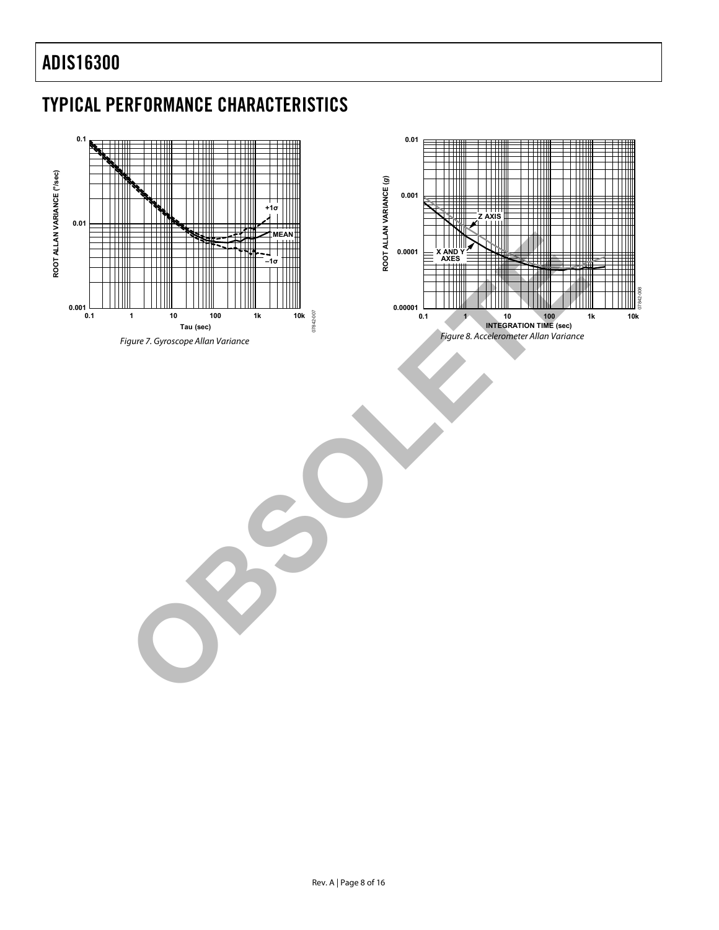# <span id="page-7-0"></span>TYPICAL PERFORMANCE CHARACTERISTICS

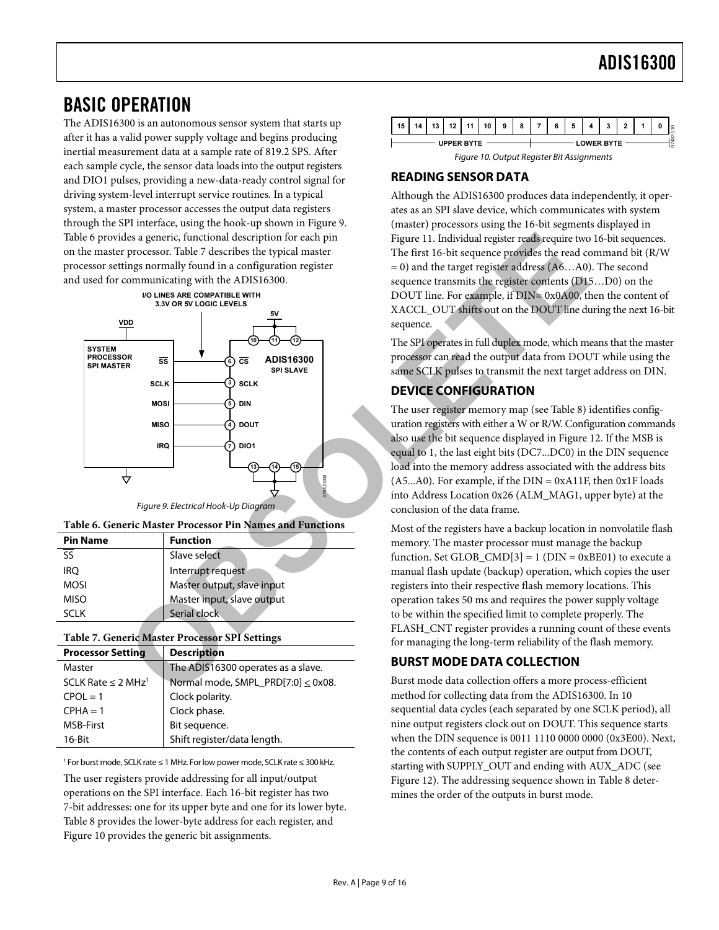### <span id="page-8-0"></span>BASIC OPERATION

<span id="page-8-4"></span>The ADIS16300 is an autonomous sensor system that starts up after it has a valid power supply voltage and begins producing inertial measurement data at a sample rate of 819.2 SPS. After each sample cycle, the sensor data loads into the output registers and DIO1 pulses, providing a new-data-ready control signal for driving system-level interrupt service routines. In a typical system, a master processor accesses the output data registers through the SPI interface, using the hook-up shown in [Figure 9](#page-8-1). [Table 6](#page-8-2) provides a generic, functional description for each pin on the master processor. Table 7 describes the typical master processor settings normally found in a configuration register and used for communicating with the ADIS16300.



Figure 9. Electrical Hook-Up Diagram

<span id="page-8-1"></span>

<span id="page-8-2"></span>

| <b>Pin Name</b>          | <b>Function</b>            |
|--------------------------|----------------------------|
| $\overline{\mathsf{SS}}$ | Slave select               |
| irq                      | Interrupt request          |
| <b>MOSI</b>              | Master output, slave input |
| <b>MISO</b>              | Master input, slave output |
| <b>SCLK</b>              | Serial clock               |

#### <span id="page-8-3"></span>**Table 7. Generic Master Processor SPI Settings**

| <b>Processor Setting</b>            | <b>Description</b>                      |
|-------------------------------------|-----------------------------------------|
| Master                              | The ADIS16300 operates as a slave.      |
| SCLK Rate $\leq$ 2 MHz <sup>1</sup> | Normal mode, SMPL_PRD[7:0] $\leq$ 0x08. |
| $CPOL = 1$                          | Clock polarity.                         |
| $CPHA = 1$                          | Clock phase.                            |
| <b>MSB-First</b>                    | Bit sequence.                           |
| $16$ -Bit                           | Shift register/data length.             |

1 For burst mode, SCLK rate ≤ 1 MHz. For low power mode, SCLK rate ≤ 300 kHz.

The user registers provide addressing for all input/output operations on the SPI interface. Each 16-bit register has two 7-bit addresses: one for its upper byte and one for its lower byte. [Table 8](#page-9-0) provides the lower-byte address for each register, and [Figure 10](#page-8-4) provides the generic bit assignments.



#### **READING SENSOR DATA**

Although the ADIS16300 produces data independently, it operates as an SPI slave device, which communicates with system (master) processors using the 16-bit segments displayed in Figure 11. Individual register reads require two 16-bit sequences. The first 16-bit sequence provides the read command bit (R/W = 0) and the target register address (A6…A0). The second sequence transmits the register contents (D15…D0) on the DOUT line. For example, if DIN= 0x0A00, then the content of XACCL\_OUT shifts out on the DOUT line during the next 16-bit sequence.

The SPI operates in full duplex mode, which means that the master processor can read the output data from DOUT while using the same SCLK pulses to transmit the next target address on DIN.

#### **DEVICE CONFIGURATION**

The user register memory map (see Table 8) identifies configuration registers with either a W or R/W. Configuration commands also use the bit sequence displayed in [Figure 12](#page-9-2). If the MSB is equal to 1, the last eight bits (DC7...DC0) in the DIN sequence load into the memory address associated with the address bits  $(A5...A0)$ . For example, if the DIN = 0xA11F, then 0x1F loads into Address Location 0x26 (ALM\_MAG1, upper byte) at the conclusion of the data frame.

Most of the registers have a backup location in nonvolatile flash memory. The master processor must manage the backup function. Set GLOB\_CMD[3] = 1 ( $DIN = 0xBE01$ ) to execute a manual flash update (backup) operation, which copies the user registers into their respective flash memory locations. This operation takes 50 ms and requires the power supply voltage to be within the specified limit to complete properly. The FLASH\_CNT register provides a running count of these events for managing the long-term reliability of the flash memory.

#### **BURST MODE DATA COLLECTION**

Burst mode data collection offers a more process-efficient method for collecting data from the ADIS16300. In 10 sequential data cycles (each separated by one SCLK period), all nine output registers clock out on DOUT. This sequence starts when the DIN sequence is 0011 1110 0000 0000 (0x3E00). Next, the contents of each output register are output from DOUT, starting with SUPPLY\_OUT and ending with AUX\_ADC (see [Figure 12](#page-9-2)). The addressing sequence shown in [Table 8](#page-9-0) determines the order of the outputs in burst mode.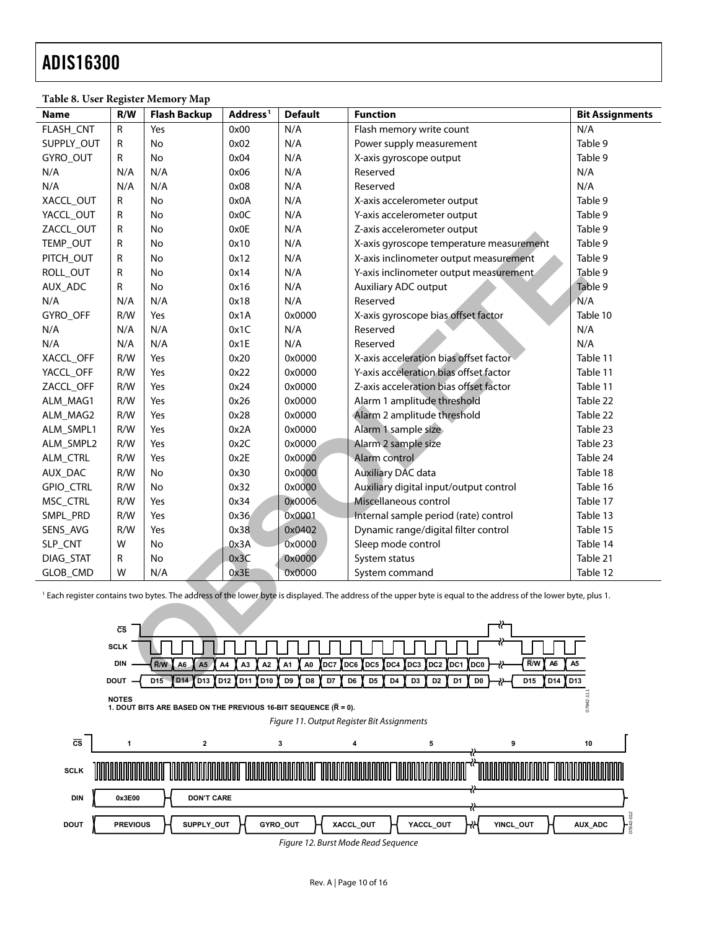<span id="page-9-0"></span>

| табіе о, Обег кедімет іленібі у мар                                                                                                                                                                                                                                                                       |             |                                         |                                        |                 |                                                                                                |                        |
|-----------------------------------------------------------------------------------------------------------------------------------------------------------------------------------------------------------------------------------------------------------------------------------------------------------|-------------|-----------------------------------------|----------------------------------------|-----------------|------------------------------------------------------------------------------------------------|------------------------|
| Name                                                                                                                                                                                                                                                                                                      | R/W         | <b>Flash Backup</b>                     | Address <sup>1</sup>                   | <b>Default</b>  | <b>Function</b>                                                                                | <b>Bit Assignments</b> |
| FLASH_CNT                                                                                                                                                                                                                                                                                                 | ${\sf R}$   | Yes                                     | 0x00                                   | N/A             | Flash memory write count                                                                       | N/A                    |
| SUPPLY_OUT                                                                                                                                                                                                                                                                                                | R           | No                                      | 0x02                                   | N/A             | Power supply measurement                                                                       | Table 9                |
| GYRO_OUT                                                                                                                                                                                                                                                                                                  | R           | No                                      | 0x04                                   | N/A             | X-axis gyroscope output                                                                        | Table 9                |
| N/A                                                                                                                                                                                                                                                                                                       | N/A         | N/A                                     | 0x06                                   | N/A             | Reserved                                                                                       | N/A                    |
| N/A                                                                                                                                                                                                                                                                                                       | N/A         | N/A                                     | 0x08                                   | N/A             | Reserved                                                                                       | N/A                    |
| XACCL_OUT                                                                                                                                                                                                                                                                                                 | R           | No                                      | 0x0A                                   | N/A             | X-axis accelerometer output                                                                    | Table 9                |
| YACCL_OUT                                                                                                                                                                                                                                                                                                 | R           | No                                      | 0x0C                                   | N/A             | Y-axis accelerometer output                                                                    | Table 9                |
| ZACCL_OUT                                                                                                                                                                                                                                                                                                 | R           | No                                      | 0x0E                                   | N/A             | Z-axis accelerometer output                                                                    | Table 9                |
| TEMP_OUT                                                                                                                                                                                                                                                                                                  | R           | No                                      | 0x10                                   | N/A             | X-axis gyroscope temperature measurement                                                       | Table 9                |
| PITCH_OUT                                                                                                                                                                                                                                                                                                 | R           | No                                      | 0x12                                   | N/A             | X-axis inclinometer output measurement                                                         | Table 9                |
| ROLL_OUT                                                                                                                                                                                                                                                                                                  | R           | No                                      | 0x14                                   | N/A             | Y-axis inclinometer output measurement                                                         | Table 9                |
| AUX_ADC                                                                                                                                                                                                                                                                                                   | R           | No                                      | 0x16                                   | N/A             | Auxiliary ADC output                                                                           | Table 9                |
| N/A                                                                                                                                                                                                                                                                                                       | N/A         | N/A                                     | 0x18                                   | N/A             | Reserved                                                                                       | N/A                    |
| GYRO_OFF                                                                                                                                                                                                                                                                                                  | R/W         | Yes                                     | 0x1A                                   | 0x0000          | X-axis gyroscope bias offset factor                                                            | Table 10               |
| N/A                                                                                                                                                                                                                                                                                                       | N/A         | N/A                                     | 0x1C                                   | N/A             | Reserved                                                                                       | N/A                    |
| N/A                                                                                                                                                                                                                                                                                                       | N/A         | N/A                                     | 0x1E                                   | N/A             | Reserved                                                                                       | N/A                    |
| XACCL OFF                                                                                                                                                                                                                                                                                                 | R/W         | Yes                                     | 0x20                                   | 0x0000          | X-axis acceleration bias offset factor                                                         | Table 11               |
| YACCL_OFF                                                                                                                                                                                                                                                                                                 | R/W         | Yes                                     | 0x22                                   | 0x0000          | Y-axis acceleration bias offset factor                                                         | Table 11               |
| ZACCL_OFF                                                                                                                                                                                                                                                                                                 | R/W         | Yes                                     | 0x24                                   | 0x0000          | Z-axis acceleration bias offset factor                                                         | Table 11               |
| ALM_MAG1                                                                                                                                                                                                                                                                                                  | R/W         | Yes                                     | 0x26                                   | 0x0000          | Alarm 1 amplitude threshold                                                                    | Table 22               |
| ALM_MAG2                                                                                                                                                                                                                                                                                                  | R/W         | Yes                                     | 0x28                                   | 0x0000          | Alarm 2 amplitude threshold                                                                    | Table 22               |
| ALM_SMPL1                                                                                                                                                                                                                                                                                                 | R/W         | Yes                                     | 0x2A                                   | 0x0000          | Alarm 1 sample size                                                                            | Table 23               |
| ALM_SMPL2                                                                                                                                                                                                                                                                                                 | R/W         | Yes                                     | 0x2C                                   | 0x0000          | Alarm 2 sample size                                                                            | Table 23               |
| ALM_CTRL                                                                                                                                                                                                                                                                                                  | R/W         | Yes                                     | 0x2E                                   | 0x0000          | Alarm control                                                                                  | Table 24               |
| AUX_DAC                                                                                                                                                                                                                                                                                                   | R/W         | No                                      | 0x30                                   | 0x0000          | <b>Auxiliary DAC data</b>                                                                      | Table 18               |
| GPIO_CTRL                                                                                                                                                                                                                                                                                                 | R/W         | No                                      | 0x32                                   | 0x0000          | Auxiliary digital input/output control                                                         | Table 16               |
| MSC_CTRL                                                                                                                                                                                                                                                                                                  | R/W         | Yes                                     | 0x34                                   | 0x0006          | Miscellaneous control                                                                          | Table 17               |
| SMPL_PRD                                                                                                                                                                                                                                                                                                  | R/W         | Yes                                     | 0x36                                   | 0x0001          | Internal sample period (rate) control                                                          | Table 13               |
| SENS_AVG                                                                                                                                                                                                                                                                                                  | R/W         | Yes                                     | 0x38                                   | 0x0402          | Dynamic range/digital filter control                                                           | Table 15               |
| SLP_CNT                                                                                                                                                                                                                                                                                                   | W           | No                                      | 0x3A                                   | 0x0000          | Sleep mode control                                                                             | Table 14               |
| DIAG_STAT                                                                                                                                                                                                                                                                                                 | R           | No                                      | 0x3C                                   | 0x0000          | System status                                                                                  | Table 21               |
| GLOB_CMD                                                                                                                                                                                                                                                                                                  | W           | N/A                                     | 0x3E                                   | 0x0000          | System command                                                                                 | Table 12               |
| <sup>1</sup> Each register contains two bytes. The address of the lower byte is displayed. The address of the upper byte is equal to the address of the lower byte, plus 1.                                                                                                                               |             |                                         |                                        |                 |                                                                                                |                        |
| ₹₹                                                                                                                                                                                                                                                                                                        |             |                                         |                                        |                 |                                                                                                |                        |
| $\overline{\text{cs}}$                                                                                                                                                                                                                                                                                    |             |                                         |                                        |                 |                                                                                                |                        |
|                                                                                                                                                                                                                                                                                                           | <b>SCLK</b> |                                         |                                        |                 |                                                                                                |                        |
|                                                                                                                                                                                                                                                                                                           | <b>DIN</b>  | A <sub>5</sub><br>R/W<br>A <sub>6</sub> | A4<br>A <sub>3</sub><br>A <sub>2</sub> | DC7<br>A1<br>A0 | R/W<br>A <sub>6</sub><br>DC6<br>DC5<br>DC4<br>DC3<br>DC <sub>2</sub><br>DC1<br>DC <sub>0</sub> | A <sub>5</sub>         |
| D <sub>14</sub><br><b>D13</b><br>D <sub>12</sub><br>D <sub>11</sub><br>D <sub>10</sub><br>D9<br>D7<br>D <sub>4</sub><br>D14<br>D13<br>D15<br>D <sub>8</sub><br>D <sub>6</sub><br>D <sub>5</sub><br>D <sub>3</sub><br>D <sub>2</sub><br>D <sub>1</sub><br>D <sub>0</sub><br>D <sub>15</sub><br><b>DOUT</b> |             |                                         |                                        |                 |                                                                                                |                        |
|                                                                                                                                                                                                                                                                                                           |             |                                         |                                        |                 |                                                                                                |                        |

#### **Table 8. User Register Memory Map**

<span id="page-9-3"></span><span id="page-9-2"></span><span id="page-9-1"></span>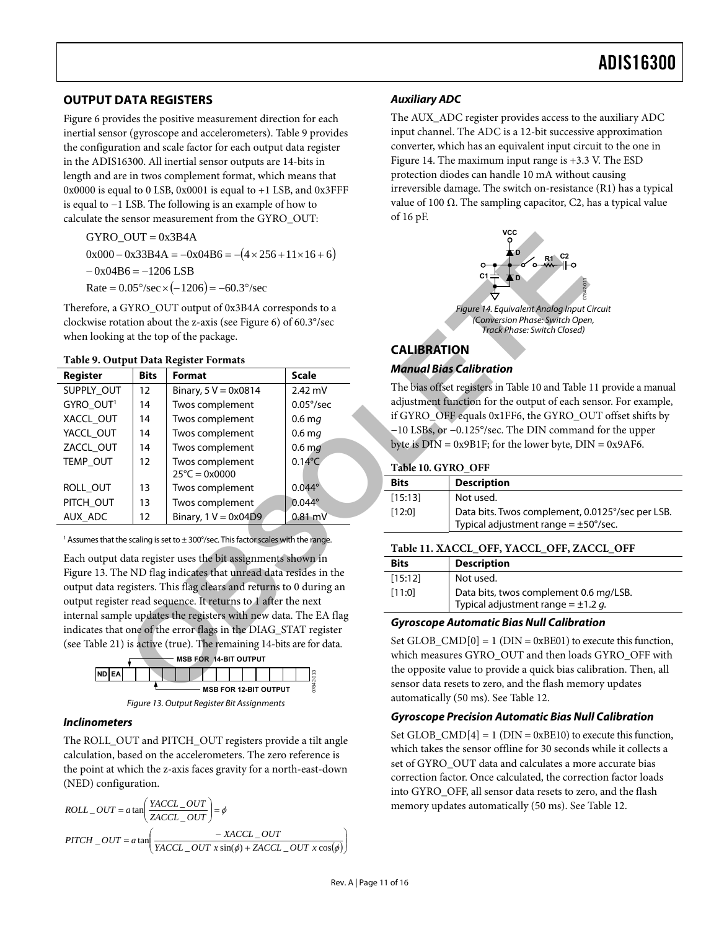#### <span id="page-10-0"></span>**OUTPUT DATA REGISTERS**

[Figure 6](#page-6-2) provides the positive measurement direction for each inertial sensor (gyroscope and accelerometers). [Table 9](#page-10-1) provides the configuration and scale factor for each output data register in the ADIS16300. All inertial sensor outputs are 14-bits in length and are in twos complement format, which means that  $0x0000$  is equal to 0 LSB,  $0x0001$  is equal to  $+1$  LSB, and  $0x3$ FFF is equal to −1 LSB. The following is an example of how to calculate the sensor measurement from the GYRO\_OUT:

$$
-0x04B6 = -1206
$$
LSB

#### <span id="page-10-5"></span><span id="page-10-2"></span><span id="page-10-1"></span>**Table 9. Output Data Register Formats**

| GYRO $OUT = 0x3B4A$                                                                                                                 |             |                                                                                                    |                    |                                               | <b>VCC</b>                                                                  |
|-------------------------------------------------------------------------------------------------------------------------------------|-------------|----------------------------------------------------------------------------------------------------|--------------------|-----------------------------------------------|-----------------------------------------------------------------------------|
| $0x000 - 0x33B4A = -0x04B6 = -(4 \times 256 + 11 \times 16 + 6)$                                                                    |             |                                                                                                    |                    | FО                                            |                                                                             |
| $-0x04B6 = -1206$ LSB                                                                                                               |             |                                                                                                    |                    | R1                                            |                                                                             |
|                                                                                                                                     |             | Rate = $0.05^{\circ}/sec \times (-1206) = -60.3^{\circ}/sec$                                       |                    |                                               | C1<br>0-24070                                                               |
|                                                                                                                                     |             | Therefore, a GYRO_OUT output of 0x3B4A corresponds to a                                            |                    |                                               | Figure 14. Equivalent Analog Input C                                        |
|                                                                                                                                     |             | clockwise rotation about the z-axis (see Figure 6) of 60.3°/sec                                    |                    |                                               | (Conversion Phase: Switch Oper<br>Track Phase: Switch Closed)               |
|                                                                                                                                     |             | when looking at the top of the package.                                                            |                    |                                               |                                                                             |
|                                                                                                                                     |             | Table 9. Output Data Register Formats                                                              |                    | <b>CALIBRATION</b>                            |                                                                             |
| <b>Register</b>                                                                                                                     | <b>Bits</b> | Format                                                                                             | <b>Scale</b>       |                                               | <b>Manual Bias Calibration</b>                                              |
| SUPPLY_OUT                                                                                                                          | 12          | Binary, 5 V = 0x0814                                                                               | $2.42$ mV          |                                               | The bias offset registers in Table 10 and Table 1                           |
| GYRO_OUT <sup>1</sup>                                                                                                               | 14          | Twos complement                                                                                    | $0.05^{\circ}/sec$ |                                               | adjustment function for the output of each se                               |
| XACCL_OUT                                                                                                                           | 14          | Twos complement                                                                                    | $0.6$ mg           |                                               | if GYRO_OFF equals 0x1FF6, the GYRO_OU                                      |
| YACCL_OUT                                                                                                                           | 14          | Twos complement                                                                                    | $0.6$ mg           |                                               | -10 LSBs, or -0.125°/sec. The DIN comman                                    |
| ZACCL_OUT                                                                                                                           | 14          | Twos complement                                                                                    | 0.6 <sub>mg</sub>  |                                               | byte is $DIN = 0x9B1F$ ; for the lower byte, $DIN$                          |
| TEMP_OUT                                                                                                                            | 12          | Twos complement<br>$25^{\circ}C = 0x0000$                                                          | $0.14^{\circ}$ C   | Table 10. GYRO_OFF                            |                                                                             |
| ROLL_OUT                                                                                                                            | 13          | Twos complement                                                                                    | $0.044^\circ$      | <b>Bits</b>                                   | <b>Description</b>                                                          |
| PITCH OUT                                                                                                                           | 13          | Twos complement                                                                                    | $0.044^\circ$      | [15:13]                                       | Not used.                                                                   |
| AUX_ADC                                                                                                                             | 12          | Binary, $1 V = 0x04D9$                                                                             | $0.81$ mV          | [12:0]                                        | Data bits. Twos complement, 0.<br>Typical adjustment range = $\pm$ 5        |
|                                                                                                                                     |             | <sup>1</sup> Assumes that the scaling is set to $\pm$ 300°/sec. This factor scales with the range. |                    |                                               | Table 11. XACCL_OFF, YACCL_OFF, ZA                                          |
|                                                                                                                                     |             | Each output data register uses the bit assignments shown in                                        |                    | <b>Bits</b>                                   | <b>Description</b>                                                          |
|                                                                                                                                     |             | Figure 13. The ND flag indicates that unread data resides in the                                   |                    | [15:12]                                       | Not used.                                                                   |
| output data registers. This flag clears and returns to 0 during an                                                                  |             |                                                                                                    |                    | [11:0]                                        | Data bits, twos complement 0.                                               |
| output register read sequence. It returns to 1 after the next                                                                       |             |                                                                                                    |                    |                                               | Typical adjustment range = $\pm 1$ .                                        |
| internal sample updates the registers with new data. The EA flag<br>indicates that one of the error flags in the DIAG_STAT register |             |                                                                                                    |                    | <b>Gyroscope Automatic Bias Null Calibrat</b> |                                                                             |
|                                                                                                                                     |             | (see Table 21) is active (true). The remaining 14-bits are for data.                               |                    |                                               | Set GLOB_CMD[0] = 1 ( $DIN = 0xBE01$ ) to ex                                |
|                                                                                                                                     |             | <b>MSB FOR 14-BIT OUTPUT</b>                                                                       |                    |                                               | which measures GYRO_OUT and then loads                                      |
| ND EA                                                                                                                               |             |                                                                                                    |                    |                                               | the opposite value to provide a quick bias cal                              |
|                                                                                                                                     |             | <b>MSB FOR 12-BIT OUTPUT</b>                                                                       | 07842-013          |                                               | sensor data resets to zero, and the flash mem-                              |
|                                                                                                                                     |             |                                                                                                    |                    |                                               | $\epsilon$ Can $\epsilon$ is all $\epsilon$ (50 me). $\epsilon$ on Table 12 |

<span id="page-10-3"></span>



#### <span id="page-10-4"></span>**Inclinometers**

The ROLL\_OUT and PITCH\_OUT registers provide a tilt angle calculation, based on the accelerometers. The zero reference is the point at which the z-axis faces gravity for a north-east-down (NED) configuration.

*ROLL\_OUT* = 
$$
a \tan \left( \frac{YACCL_OUT}{ZACCL_OUT} \right) = \phi
$$
  
\n
$$
PITCH_OUT = a \tan \left( \frac{-XACCL_OUT}{YACCL_OUT \sin(\phi) + ZACCL_OUT \cos(\phi)} \right)
$$

#### **Auxiliary ADC**

The AUX\_ADC register provides access to the auxiliary ADC input channel. The ADC is a 12-bit successive approximation converter, which has an equivalent input circuit to the one in [Figure 14](#page-10-5). The maximum input range is +3.3 V. The ESD protection diodes can handle 10 mA without causing irreversible damage. The switch on-resistance (R1) has a typical value of 100  $Ω$ . The sampling capacitor, C2, has a typical value of 16 pF.



#### **CALIBRATION**

#### **Manual Bias Calibration**

The bias offset registers in Table 10 and [Table 11](#page-10-3) provide a manual adjustment function for the output of each sensor. For example, if GYRO\_OFF equals 0x1FF6, the GYRO\_OUT offset shifts by −10 LSBs, or −0.125°/sec. The DIN command for the upper byte is  $\overline{D}$ IN = 0x9B1F; for the lower byte,  $\overline{D}$ IN = 0x9AF6.

#### **Table 10. GYRO\_OFF**

| <b>Bits</b> | <b>Description</b>                                                                            |  |  |  |  |
|-------------|-----------------------------------------------------------------------------------------------|--|--|--|--|
| [15:13]     | Not used.                                                                                     |  |  |  |  |
| [12:0]      | Data bits. Twos complement, 0.0125°/sec per LSB.<br>Typical adjustment range = $\pm$ 50°/sec. |  |  |  |  |
|             |                                                                                               |  |  |  |  |

#### **Table 11. XACCL\_OFF, YACCL\_OFF, ZACCL\_OFF**

| <b>Bits</b> | <b>Description</b>                                                                |
|-------------|-----------------------------------------------------------------------------------|
| [15:12]     | Not used.                                                                         |
| [11:0]      | Data bits, twos complement 0.6 mg/LSB.<br>Typical adjustment range = $\pm$ 1.2 g. |

#### **Gyroscope Automatic Bias Null Calibration**

Set GLOB\_CMD $[0] = 1$  (DIN = 0xBE01) to execute this function, which measures GYRO\_OUT and then loads GYRO\_OFF with the opposite value to provide a quick bias calibration. Then, all sensor data resets to zero, and the flash memory updates automatically (50 ms). See [Table 12](#page-11-3).

#### **Gyroscope Precision Automatic Bias Null Calibration**

Set GLOB  $\text{CMD}[4] = 1$  (DIN = 0xBE10) to execute this function, which takes the sensor offline for 30 seconds while it collects a set of GYRO\_OUT data and calculates a more accurate bias correction factor. Once calculated, the correction factor loads into GYRO\_OFF, all sensor data resets to zero, and the flash memory updates automatically (50 ms). See [Table 12](#page-11-3).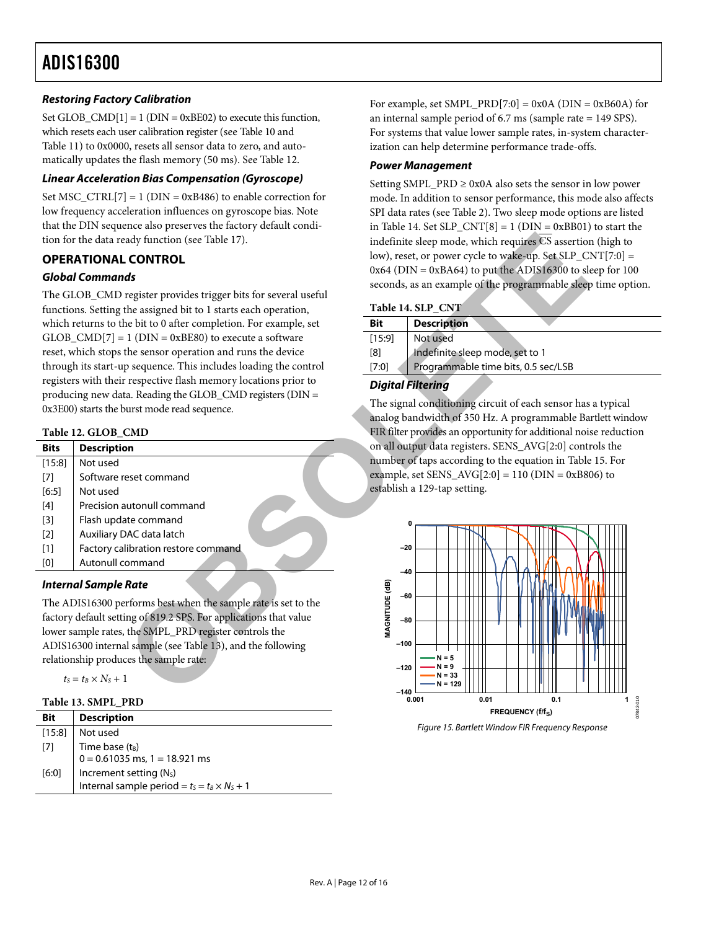#### <span id="page-11-0"></span>**Restoring Factory Calibration**

Set GLOB\_CMD $[1] = 1$  (DIN = 0xBE02) to execute this function, which resets each user calibration register (see [Table 10](#page-10-2) and [Table 11](#page-10-3)) to 0x0000, resets all sensor data to zero, and automatically updates the flash memory (50 ms). See [Table 12](#page-11-3).

#### **Linear Acceleration Bias Compensation (Gyroscope)**

Set MSC\_CTRL[7] = 1 ( $DIN = 0xB486$ ) to enable correction for low frequency acceleration influences on gyroscope bias. Note that the DIN sequence also preserves the factory default condition for the data ready function (see Table 17).

#### **OPERATIONAL CONTROL**

#### **Global Commands**

<span id="page-11-2"></span>The GLOB\_CMD register provides trigger bits for several useful functions. Setting the assigned bit to 1 starts each operation, which returns to the bit to 0 after completion. For example, set GLOB  $\text{CMD}[7] = 1$  (DIN = 0xBE80) to execute a software reset, which stops the sensor operation and runs the device through its start-up sequence. This includes loading the control registers with their respective flash memory locations prior to producing new data. Reading the GLOB\_CMD registers (DIN = 0x3E00) starts the burst mode read sequence.

#### **Table 12. GLOB\_CMD**

<span id="page-11-3"></span>

| <b>Bits</b> | <b>Description</b>                  |
|-------------|-------------------------------------|
| [15:8]      | Not used                            |
| [7]         | Software reset command              |
| $[6:5]$     | Not used                            |
| [4]         | Precision autonull command          |
| $[3]$       | Flash update command                |
| $[2]$       | Auxiliary DAC data latch            |
| $[1]$       | Factory calibration restore command |
| [0]         | Autonull command                    |
|             |                                     |

#### **Internal Sample Rate**

The ADIS16300 performs best when the sample rate is set to the factory default setting of 819.2 SPS. For applications that value lower sample rates, the SMPL\_PRD register controls the ADIS16300 internal sample (see Table 13), and the following relationship produces the sample rate:

 $t_S = t_B \times N_S + 1$ 

|  |  | Table 13. SMPL PRD |  |
|--|--|--------------------|--|
|--|--|--------------------|--|

<span id="page-11-1"></span>

| Bit     | <b>Description</b>                                  |
|---------|-----------------------------------------------------|
| [15:8]  | Not used                                            |
| $[7]$   | Time base (t <sub>B</sub> )                         |
|         | $0 = 0.61035$ ms, 1 = 18.921 ms                     |
| $[6:0]$ | Increment setting (N <sub>S</sub> )                 |
|         | Internal sample period = $t_s = t_B \times N_s + 1$ |

For example, set SMPL\_PRD[7:0] =  $0x0A$  (DIN =  $0xB60A$ ) for an internal sample period of 6.7 ms (sample rate = 149 SPS). For systems that value lower sample rates, in-system characterization can help determine performance trade-offs.

#### **Power Management**

Setting SMPL\_PRD  $\geq$  0x0A also sets the sensor in low power mode. In addition to sensor performance, this mode also affects SPI data rates (see [Table 2](#page-4-1)). Two sleep mode options are listed in [Table 14](#page-11-2). Set  $SLP_CNT[8] = 1$  (DIN = 0xBB01) to start the indefinite sleep mode, which requires  $\overline{CS}$  assertion (high to low), reset, or power cycle to wake-up. Set SLP  $CNT[7:0] =$  $0x64$  (DIN =  $0xBA64$ ) to put the ADIS16300 to sleep for 100 seconds, as an example of the programmable sleep time option.

#### **Table 14. SLP\_CNT**

| Bit    | <b>Description</b>                  |
|--------|-------------------------------------|
| [15:9] | Not used                            |
| [8]    | Indefinite sleep mode, set to 1     |
| [7:0]  | Programmable time bits, 0.5 sec/LSB |
|        |                                     |

#### **Digital Filtering**

The signal conditioning circuit of each sensor has a typical analog bandwidth of 350 Hz. A programmable Bartlett window FIR filter provides an opportunity for additional noise reduction on all output data registers. SENS\_AVG[2:0] controls the number of taps according to the equation in [Table 15](#page-12-4). For example, set SENS\_AVG $[2:0] = 110$  (DIN = 0xB806) to establish a 129-tap setting.



Figure 15. Bartlett Window FIR Frequency Response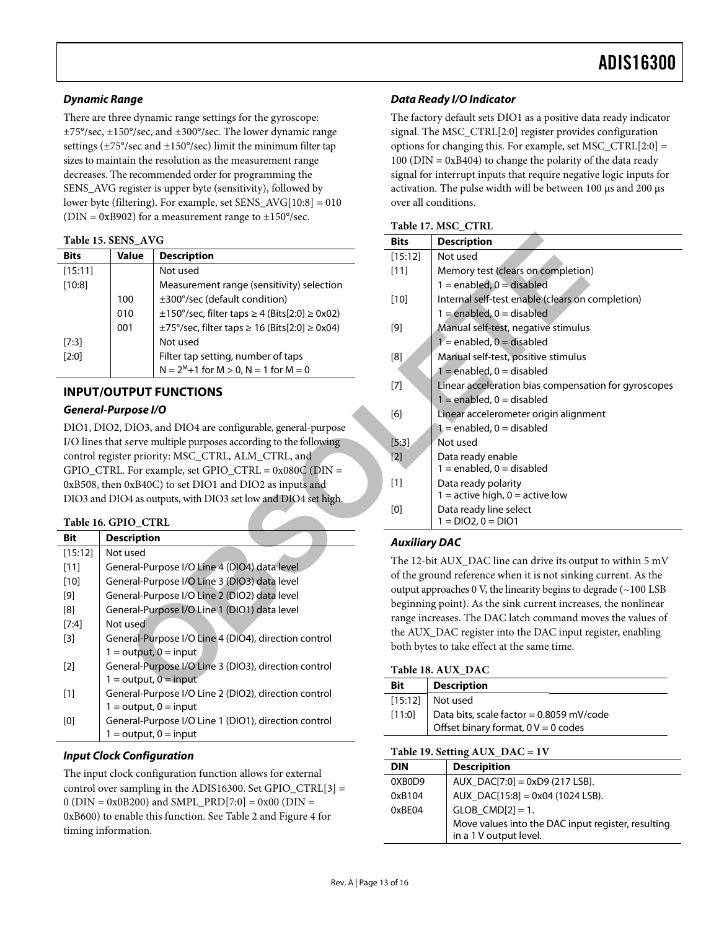#### <span id="page-12-0"></span>**Dynamic Range**

There are three dynamic range settings for the gyroscope: ±75°/sec, ±150°/sec, and ±300°/sec. The lower dynamic range settings (±75°/sec and ±150°/sec) limit the minimum filter tap sizes to maintain the resolution as the measurement range decreases. The recommended order for programming the SENS\_AVG register is upper byte (sensitivity), followed by lower byte (filtering). For example, set SENS\_AVG[10:8] = 010 ( $DIN = 0xB902$ ) for a measurement range to  $\pm 150^{\circ}/\text{sec}$ .

#### **Table 15. SENS\_AVG**

<span id="page-12-4"></span><span id="page-12-3"></span>

| <b>Bits</b> | Value | <b>Description</b>                                           |  |
|-------------|-------|--------------------------------------------------------------|--|
| [15:11]     |       | Not used                                                     |  |
| [10:8]      |       | Measurement range (sensitivity) selection                    |  |
|             | 100   | ±300°/sec (default condition)                                |  |
|             | 010   | $\pm$ 150°/sec, filter taps $\geq$ 4 (Bits[2:0] $\geq$ 0x02) |  |
|             | 001   | ±75°/sec, filter taps ≥ 16 (Bits[2:0] ≥ 0x04)                |  |
| [7:3]       |       | Not used                                                     |  |
| [2:0]       |       | Filter tap setting, number of taps                           |  |
|             |       | $N = 2M+1$ for $M > 0$ , $N = 1$ for $M = 0$                 |  |

#### **INPUT/OUTPUT FUNCTIONS**

#### **General-Purpose I/O**

DIO1, DIO2, DIO3, and DIO4 are configurable, general-purpose I/O lines that serve multiple purposes according to the following control register priority: MSC\_CTRL, ALM\_CTRL, and GPIO\_CTRL. For example, set GPIO\_CTRL =  $0x080C$  (DIN = 0xB508, then 0xB40C) to set DIO1 and DIO2 as inputs and DIO3 and DIO4 as outputs, with DIO3 set low and DIO4 set high.

#### **Table 16. GPIO\_CTRL**

<span id="page-12-2"></span>

| <b>Bit</b> | <b>Description</b>                                   |
|------------|------------------------------------------------------|
| [15:12]    | Not used                                             |
| [11]       | General-Purpose I/O Line 4 (DIO4) data level         |
| [10]       | General-Purpose I/O Line 3 (DIO3) data level         |
| [9]        | General-Purpose I/O Line 2 (DIO2) data level         |
| [8]        | General-Purpose I/O Line 1 (DIO1) data level         |
| [7:4]      | Not used                                             |
| [3]        | General-Purpose I/O Line 4 (DIO4), direction control |
|            | $1 =$ output, $0 =$ input                            |
| [2]        | General-Purpose I/O Line 3 (DIO3), direction control |
|            | $1 =$ output, $0 =$ input                            |
| [1]        | General-Purpose I/O Line 2 (DIO2), direction control |
|            | $1 =$ output, $0 =$ input                            |
| וסז        | General-Purpose I/O Line 1 (DIO1), direction control |
|            | $1 =$ output, $0 =$ input                            |

#### <span id="page-12-1"></span>**Input Clock Configuration**

The input clock configuration function allows for external control over sampling in the ADIS16300. Set GPIO\_CTRL[3] = 0 ( $DIN = 0x0B200$ ) and  $SMPI$ .  $PRD[7:0] = 0x00$  ( $DIN =$ 0xB600) to enable this function. See [Table 2](#page-4-1) and [Figure 4](#page-4-2) for timing information.

#### **Data Ready I/O Indicator**

The factory default sets DIO1 as a positive data ready indicator signal. The MSC\_CTRL[2:0] register provides configuration options for changing this. For example, set MSC\_CTRL $[2:0] =$ 100 (DIN = 0xB404) to change the polarity of the data ready signal for interrupt inputs that require negative logic inputs for activation. The pulse width will be between 100 μs and 200 μs over all conditions.

|  |  |  | Table 17. MSC CTRL |
|--|--|--|--------------------|
|--|--|--|--------------------|

| <b>NS_AVG</b>                                                            |                                                                                     | <b>Bits</b>          | <b>Description</b>                                                              |  |  |
|--------------------------------------------------------------------------|-------------------------------------------------------------------------------------|----------------------|---------------------------------------------------------------------------------|--|--|
| alue                                                                     | <b>Description</b>                                                                  | [15:12]              | Not used                                                                        |  |  |
|                                                                          | Not used                                                                            | $[11]$               | Memory test (clears on completion)                                              |  |  |
|                                                                          | Measurement range (sensitivity) selection                                           |                      | $1 =$ enabled, $0 =$ disabled                                                   |  |  |
| 00                                                                       | ±300°/sec (default condition)                                                       | $[10]$               | Internal self-test enable (clears on completion)                                |  |  |
| 10                                                                       | $\pm 150^{\circ}/\text{sec}$ , filter taps $\geq 4$ (Bits[2:0] $\geq 0 \times 02$ ) |                      | $1 =$ enabled, $0 =$ disabled                                                   |  |  |
| 01                                                                       | $\pm$ 75°/sec, filter taps $\geq$ 16 (Bits[2:0] $\geq$ 0x04)                        | $[9]$                | Manual self-test, negative stimulus                                             |  |  |
|                                                                          | Not used                                                                            |                      | $1$ = enabled, $0$ = disabled                                                   |  |  |
|                                                                          | Filter tap setting, number of taps                                                  | [8]                  | Manual self-test, positive stimulus                                             |  |  |
|                                                                          | $N = 2M+1$ for $M > 0$ , $N = 1$ for $M = 0$                                        |                      | $1 =$ enabled, $0 =$ disabled                                                   |  |  |
|                                                                          |                                                                                     | $[7]$                | Linear acceleration bias compensation for gyroscopes                            |  |  |
|                                                                          | <b>TPUT FUNCTIONS</b>                                                               |                      | $1 =$ enabled, $0 =$ disabled                                                   |  |  |
| pose I/O                                                                 |                                                                                     | [6]                  | Linear accelerometer origin alignment                                           |  |  |
|                                                                          | DIO3, and DIO4 are configurable, general-purpose                                    |                      | $1 =$ enabled, $0 =$ disabled                                                   |  |  |
|                                                                          | serve multiple purposes according to the following                                  | [5:3]                | Not used                                                                        |  |  |
|                                                                          | er priority: MSC_CTRL, ALM_CTRL, and                                                | $[2]$                | Data ready enable                                                               |  |  |
|                                                                          | For example, set GPIO_CTRL = $0x080C$ (DIN =                                        |                      | $1 =$ enabled, $0 =$ disabled                                                   |  |  |
| 0xB40C) to set DIO1 and DIO2 as inputs and                               |                                                                                     | $[1]$                | Data ready polarity                                                             |  |  |
| 04 as outputs, with DIO3 set low and DIO4 set high.                      |                                                                                     |                      | $1 =$ active high, $0 =$ active low                                             |  |  |
|                                                                          |                                                                                     | [0]                  | Data ready line select<br>$1 = DIO2, 0 = DIO1$                                  |  |  |
| <b>IO CTRL</b>                                                           |                                                                                     |                      |                                                                                 |  |  |
| cription                                                                 |                                                                                     | <b>Auxiliary DAC</b> |                                                                                 |  |  |
| used                                                                     |                                                                                     |                      | The 12-bit AUX_DAC line can drive its output to within 5 mV                     |  |  |
|                                                                          | eral-Purpose I/O Line 4 (DIO4) data level                                           |                      | of the ground reference when it is not sinking current. As the                  |  |  |
|                                                                          | eral-Purpose I/O Line 3 (DIO3) data level                                           |                      | output approaches 0 V, the linearity begins to degrade $(\sim 100 \text{ LSB})$ |  |  |
| eral-Purpose I/O Line 2 (DIO2) data level                                |                                                                                     |                      | beginning point). As the sink current increases, the nonlinear                  |  |  |
| eral-Purpose I/O Line 1 (DIO1) data level                                |                                                                                     |                      | range increases. The DAC latch command moves the values of                      |  |  |
| used                                                                     |                                                                                     |                      | the AUX_DAC register into the DAC input register, enabling                      |  |  |
| eral-Purpose I/O Line 4 (DIO4), direction control                        |                                                                                     |                      | both bytes to take effect at the same time.                                     |  |  |
| $output, 0 = input$<br>eral-Purpose I/O Line 3 (DIO3), direction control |                                                                                     |                      |                                                                                 |  |  |
| output, $\overline{0}$ = input                                           |                                                                                     | <b>Bit</b>           | Table 18. AUX DAC                                                               |  |  |
| eral-Purpose I/O Line 2 (DIO2), direction control                        |                                                                                     |                      | <b>Description</b>                                                              |  |  |

#### **Auxiliary DAC**

#### **Table 18. AUX\_DAC**

| Bit    | <b>Description</b>                       |  |  |  |
|--------|------------------------------------------|--|--|--|
|        | $[15:12]$ Not used                       |  |  |  |
| [11:0] | Data bits, scale factor = 0.8059 mV/code |  |  |  |
|        | Offset binary format, $0 V = 0$ codes    |  |  |  |

#### **Table 19. Setting AUX\_DAC = 1V**

| <b>DIN</b> | <b>Descripition</b>                                |
|------------|----------------------------------------------------|
| 0XB0D9     | AUX DAC $[7:0] = 0 \times D9$ (217 LSB).           |
| 0xB104     | $AUX\_DAC[15:8] = 0x04(1024LSB).$                  |
| 0xBFA4     | $GLOB$ $CMD[2] = 1$ .                              |
|            | Move values into the DAC input register, resulting |
|            | in a 1 V output level.                             |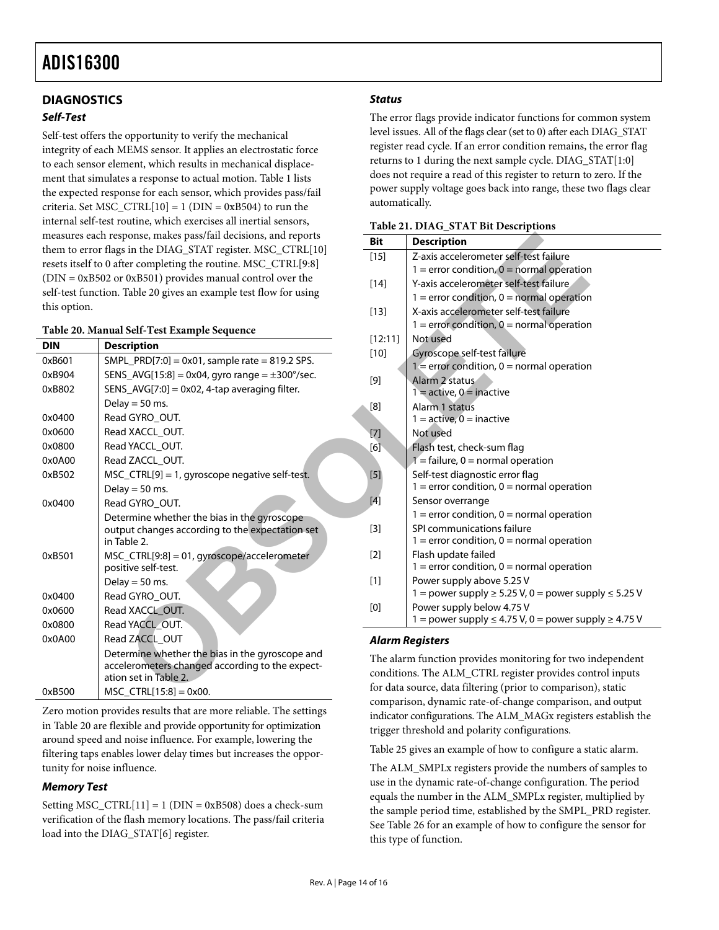#### <span id="page-13-0"></span>**DIAGNOSTICS**

#### **Self-Test**

<span id="page-13-1"></span>Self-test offers the opportunity to verify the mechanical integrity of each MEMS sensor. It applies an electrostatic force to each sensor element, which results in mechanical displacement that simulates a response to actual motion. [Table 1](#page-2-1) lists the expected response for each sensor, which provides pass/fail criteria. Set MSC\_CTRL $[10] = 1$  (DIN = 0xB504) to run the internal self-test routine, which exercises all inertial sensors, measures each response, makes pass/fail decisions, and reports them to error flags in the DIAG\_STAT register. MSC\_CTRL[10] resets itself to 0 after completing the routine. MSC\_CTRL[9:8] (DIN = 0xB502 or 0xB501) provides manual control over the self-test function. Table 20 gives an example test flow for using this option.

#### **Table 20. Manual Self-Test Example Sequence**

<span id="page-13-2"></span>

| <b>DIN</b> | <b>Description</b>                                                                                                          |
|------------|-----------------------------------------------------------------------------------------------------------------------------|
| 0xB601     | $SMPL_PRD[7:0] = 0x01$ , sample rate = 819.2 SPS.                                                                           |
| 0xB904     | SENS_AVG[15:8] = 0x04, gyro range = $\pm 300^{\circ}/sec$ .                                                                 |
| 0xB802     | $SENS_AVG[7:0] = 0x02$ , 4-tap averaging filter.                                                                            |
|            | Delay = $50$ ms.                                                                                                            |
| 0x0400     | Read GYRO_OUT.                                                                                                              |
| 0x0600     | Read XACCL_OUT.                                                                                                             |
| 0x0800     | Read YACCL OUT.                                                                                                             |
| 0x0A00     | Read ZACCL OUT.                                                                                                             |
| 0xB502     | MSC_CTRL[9] = 1, gyroscope negative self-test.                                                                              |
|            | Delay = $50$ ms.                                                                                                            |
| 0x0400     | Read GYRO OUT.                                                                                                              |
|            | Determine whether the bias in the gyroscope<br>output changes according to the expectation set<br>in Table 2.               |
| 0xB501     | MSC_CTRL[9:8] = 01, gyroscope/accelerometer<br>positive self-test.                                                          |
|            | Delay = $50$ ms.                                                                                                            |
| 0x0400     | Read GYRO_OUT.                                                                                                              |
| 0x0600     | Read XACCL_OUT.                                                                                                             |
| 0x0800     | Read YACCL_OUT.                                                                                                             |
| 0x0A00     | Read ZACCL_OUT                                                                                                              |
|            | Determine whether the bias in the gyroscope and<br>accelerometers changed according to the expect-<br>ation set in Table 2. |
| 0xB500     | $MSC_CTRL[15:8] = 0x00.$                                                                                                    |

Zero motion provides results that are more reliable. The settings in [Table 20](#page-13-2) are flexible and provide opportunity for optimization around speed and noise influence. For example, lowering the filtering taps enables lower delay times but increases the opportunity for noise influence.

#### **Memory Test**

Setting MSC\_CTRL $[11] = 1$  (DIN = 0xB508) does a check-sum verification of the flash memory locations. The pass/fail criteria load into the DIAG\_STAT[6] register.

#### **Status**

The error flags provide indicator functions for common system level issues. All of the flags clear (set to 0) after each DIAG\_STAT register read cycle. If an error condition remains, the error flag returns to 1 during the next sample cycle. DIAG\_STAT[1:0] does not require a read of this register to return to zero. If the power supply voltage goes back into range, these two flags clear automatically.

|  |  |  |  | Table 21. DIAG_STAT Bit Descriptions |
|--|--|--|--|--------------------------------------|
|--|--|--|--|--------------------------------------|

| ponse, makes pass/fail decisions, and reports<br>in the DIAG_STAT register. MSC_CTRL[10] | <b>Bit</b>                                                                                                                                                  | <b>Description</b>                                                                          |
|------------------------------------------------------------------------------------------|-------------------------------------------------------------------------------------------------------------------------------------------------------------|---------------------------------------------------------------------------------------------|
| er completing the routine. MSC_CTRL[9:8]                                                 | $[15]$                                                                                                                                                      | Z-axis accelerometer self-test failure                                                      |
|                                                                                          |                                                                                                                                                             | $1 =$ error condition, $0 =$ normal operation                                               |
| 0xB501) provides manual control over the                                                 | $[14]$                                                                                                                                                      | Y-axis accelerometer self-test failure                                                      |
| Table 20 gives an example test flow for using                                            |                                                                                                                                                             | $1 =$ error condition, $0 =$ normal operation                                               |
|                                                                                          | $[13]$                                                                                                                                                      | X-axis accelerometer self-test failure                                                      |
| Self-Test Example Sequence                                                               |                                                                                                                                                             | $1 =$ error condition, $0 =$ normal operation                                               |
| cription                                                                                 | [12:11]                                                                                                                                                     | Not used                                                                                    |
| $L_PRD[7:0] = 0x01$ , sample rate = 819.2 SPS.                                           | $[10]$                                                                                                                                                      | Gyroscope self-test failure                                                                 |
| $S_MOG[15:8] = 0x04$ , gyro range = $\pm 300^{\circ}/sec$ .                              |                                                                                                                                                             | $1 =$ error condition, $0 =$ normal operation                                               |
|                                                                                          | $[9]$                                                                                                                                                       | Alarm 2 status                                                                              |
| $S_MVG[7:0] = 0x02$ , 4-tap averaging filter.                                            |                                                                                                                                                             | $1 =$ active, $0 =$ inactive                                                                |
| $y = 50$ ms.                                                                             | $[8] % \includegraphics[width=0.9\columnwidth]{figures/fig_00.pdf} \caption{Schematic plot of the top of the top of the top of the right.} \label{fig:2} %$ | Alarm 1 status                                                                              |
| d GYRO_OUT.                                                                              |                                                                                                                                                             | $1 =$ active, $0 =$ inactive                                                                |
| XACCL OUT.                                                                               | $[7]$                                                                                                                                                       | Not used                                                                                    |
| YACCL_OUT.                                                                               | [6]                                                                                                                                                         | Flash test, check-sum flag                                                                  |
| <b>J ZACCL OUT.</b>                                                                      |                                                                                                                                                             | $1 =$ failure, 0 = normal operation                                                         |
| CTRL[9] = 1, gyroscope negative self-test.                                               | $[5]$                                                                                                                                                       | Self-test diagnostic error flag                                                             |
| $y = 50$ ms.                                                                             |                                                                                                                                                             | $1 =$ error condition, $0 =$ normal operation                                               |
| d Gyro_out.                                                                              | [4]                                                                                                                                                         | Sensor overrange                                                                            |
| ermine whether the bias in the gyroscope                                                 |                                                                                                                                                             | $1 =$ error condition, $0 =$ normal operation                                               |
| out changes according to the expectation set                                             | $[3]$                                                                                                                                                       | SPI communications failure                                                                  |
| ble 2.                                                                                   |                                                                                                                                                             | $1 =$ error condition, $0 =$ normal operation                                               |
| CTRL[9:8] = 01, gyroscope/accelerometer                                                  | $[2]$                                                                                                                                                       | Flash update failed                                                                         |
| tive self-test.                                                                          |                                                                                                                                                             | $1 =$ error condition, $0 =$ normal operation                                               |
| $y = 50$ ms.                                                                             | $[1]$                                                                                                                                                       | Power supply above 5.25 V                                                                   |
| d GYRO_OUT.                                                                              |                                                                                                                                                             | $1 =$ power supply $\ge 5.25$ V, 0 = power supply $\le 5.25$ V                              |
| XACCL_OUT.                                                                               | [0]                                                                                                                                                         | Power supply below 4.75 V<br>1 = power supply $\leq 4.75$ V, 0 = power supply $\geq 4.75$ V |
| YACCL OUT.                                                                               |                                                                                                                                                             |                                                                                             |
| <b>IZACCL OUT</b>                                                                        |                                                                                                                                                             | <b>Alarm Registers</b>                                                                      |
| ermine whether the bias in the gyroscope and                                             |                                                                                                                                                             | The alarm function provides monitoring for two independent                                  |
| lerometers changed according to the expect-                                              |                                                                                                                                                             | conditions. The ALM_CTRL register provides control inputs                                   |
| า set in Table 2.                                                                        |                                                                                                                                                             | for data source, data filtering (prior to comparison), static                               |
| $CTRL[15:8] = 0x00.$                                                                     |                                                                                                                                                             |                                                                                             |

#### **Alarm Registers**

The alarm function provides monitoring for two independent conditions. The ALM\_CTRL register provides control inputs for data source, data filtering (prior to comparison), static comparison, dynamic rate-of-change comparison, and output indicator configurations. The ALM\_MAGx registers establish the trigger threshold and polarity configurations.

[Table 25](#page-14-3) gives an example of how to configure a static alarm.

The ALM\_SMPLx registers provide the numbers of samples to use in the dynamic rate-of-change configuration. The period equals the number in the ALM\_SMPLx register, multiplied by the sample period time, established by the SMPL\_PRD register. See [Table 26](#page-14-4) for an example of how to configure the sensor for this type of function.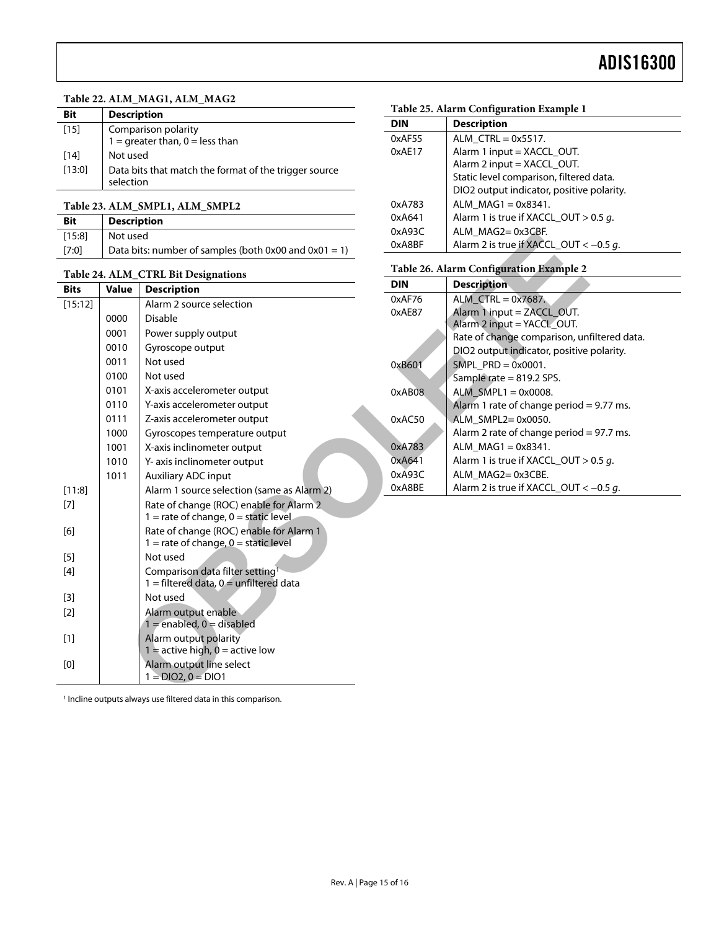#### **Table 22. ALM\_MAG1, ALM\_MAG2**

<span id="page-14-3"></span><span id="page-14-0"></span>

| Bit    | <b>Description</b>                                                 |  |  |  |
|--------|--------------------------------------------------------------------|--|--|--|
| $[15]$ | Comparison polarity<br>$1 =$ greater than, $0 =$ less than         |  |  |  |
| [14]   | Not used                                                           |  |  |  |
| [13:0] | Data bits that match the format of the trigger source<br>selection |  |  |  |

#### **Table 23. ALM\_SMPL1, ALM\_SMPL2**

<span id="page-14-1"></span>

| <b>Bit</b> | <b>Description</b>                                    |
|------------|-------------------------------------------------------|
| [15:8]     | Not used                                              |
| [7:0]      | Data bits: number of samples (both 0x00 and 0x01 = 1) |

#### <span id="page-14-4"></span><span id="page-14-2"></span>**Table 24. ALM\_CTRL Bit Designations**

| [15:8]      | Not used                                              |                                                                                           | <b>UXAY3C</b> | ALM_MAGZ=UX3CBF.                                           |
|-------------|-------------------------------------------------------|-------------------------------------------------------------------------------------------|---------------|------------------------------------------------------------|
| [7:0]       | Data bits: number of samples (both 0x00 and 0x01 = 1) |                                                                                           | 0xA8BF        | Alarm 2 is true if XACCL OUT <                             |
|             |                                                       | Table 24. ALM_CTRL Bit Designations                                                       |               | Table 26. Alarm Configuration Example 2                    |
| <b>Bits</b> | <b>Value</b>                                          | <b>Description</b>                                                                        | <b>DIN</b>    | <b>Description</b>                                         |
| [15:12]     |                                                       | Alarm 2 source selection                                                                  | 0xAF76        | ALM $CTRL = 0x7687$ .                                      |
|             | 0000                                                  | <b>Disable</b>                                                                            | 0xAE87        | Alarm $1$ input = ZACCL OUT.<br>Alarm 2 input = YACCL_OUT. |
|             | 0001                                                  | Power supply output                                                                       |               | Rate of change comparison, un                              |
|             | 0010                                                  | Gyroscope output                                                                          |               | DIO2 output indicator, positive                            |
|             | 0011                                                  | Not used                                                                                  | 0xB601        | SMPL $PRD = 0 \times 0001$ .                               |
|             | 0100                                                  | Not used                                                                                  |               | Sample rate = 819.2 SPS.                                   |
|             | 0101                                                  | X-axis accelerometer output                                                               | 0xAB08        | ALM SMPL1 = $0x0008$ .                                     |
|             | 0110                                                  | Y-axis accelerometer output                                                               |               | Alarm 1 rate of change period =                            |
|             | 0111                                                  | Z-axis accelerometer output                                                               | 0xAC50        | ALM SMPL2=0x0050.                                          |
|             | 1000                                                  | Gyroscopes temperature output                                                             |               | Alarm 2 rate of change period =                            |
|             | 1001                                                  | X-axis inclinometer output                                                                | 0xA783        | $ALM_MAG1 = 0x8341.$                                       |
|             | 1010                                                  | Y- axis inclinometer output                                                               | 0xA641        | Alarm 1 is true if XACCL_OUT >                             |
|             | 1011                                                  | <b>Auxiliary ADC input</b>                                                                | 0xA93C        | ALM_MAG2=0x3CBE.                                           |
| [11:8]      |                                                       | Alarm 1 source selection (same as Alarm 2)                                                | 0xA8BE        | Alarm 2 is true if XACCL_OUT <                             |
| $[7]$       |                                                       | Rate of change (ROC) enable for Alarm 2<br>$1 =$ rate of change, $0 =$ static level       |               |                                                            |
| [6]         |                                                       | Rate of change (ROC) enable for Alarm 1<br>$1 =$ rate of change, $0 =$ static level       |               |                                                            |
| $[5]$       |                                                       | Not used                                                                                  |               |                                                            |
| $[4]$       |                                                       | Comparison data filter setting <sup>1</sup><br>$1 =$ filtered data, $0 =$ unfiltered data |               |                                                            |
| $[3]$       |                                                       | Not used                                                                                  |               |                                                            |
| $[2]$       |                                                       | Alarm output enable<br>$1 =$ enabled, $0 =$ disabled                                      |               |                                                            |
| $[1]$       |                                                       | Alarm output polarity<br>$1 =$ active high, $0 =$ active low                              |               |                                                            |
| [0]         |                                                       | Alarm output line select<br>$1 = DIO2, 0 = DIO1$                                          |               |                                                            |
|             |                                                       | $\mathbf{1}$ and $\mathbf{1}$ and $\mathbf{1}$ and $\mathbf{1}$ and $\mathbf{1}$          |               |                                                            |
|             |                                                       |                                                                                           |               |                                                            |

#### **Table 25. Alarm Configuration Example 1**

| <b>DIN</b> | <b>Description</b>                        |
|------------|-------------------------------------------|
| 0xAF55     | ALM $CTRL = 0x5517$ .                     |
| 0xAE17     | Alarm 1 input = XACCL OUT.                |
|            | Alarm 2 input = XACCL_OUT.                |
|            | Static level comparison, filtered data.   |
|            | DIO2 output indicator, positive polarity. |
| 0xA783     | ALM $MAG1 = 0x8341$ .                     |
| 0xA641     | Alarm 1 is true if XACCL OUT $> 0.5$ g.   |
| 0xA93C     | ALM MAG2=0x3CBF.                          |
| 0xA8BF     | Alarm 2 is true if XACCL_OUT < $-0.5$ g.  |

#### **Table 26. Alarm Configuration Example 2**

| DIN    | <b>Description</b>                                    |
|--------|-------------------------------------------------------|
| 0xAF76 | ALM $CTR = 0x7687$ .                                  |
| 0xAE87 | Alarm $1$ input = ZACCL OUT.                          |
|        | Alarm 2 input = YACCL_OUT.                            |
|        | Rate of change comparison, unfiltered data.           |
|        | DIO <sub>2</sub> output indicator, positive polarity. |
| 0xB601 | SMPL $PRD = 0x0001$ .                                 |
|        | Sample rate $= 819.2$ SPS.                            |
| 0xAB08 | ALM $SMPL1 = 0 \times 0008$ .                         |
|        | Alarm 1 rate of change period $= 9.77$ ms.            |
| 0xAC50 | ALM SMPL2= $0x0050$ .                                 |
|        | Alarm 2 rate of change period $= 97.7$ ms.            |
| 0xA783 | ALM $MAG1 = 0x8341$ .                                 |
| 0xA641 | Alarm 1 is true if XACCL OUT $> 0.5$ q.               |
| 0xA93C | $ALM$ $MAG2 = 0x3CBE$ .                               |
| 0xA8BE | Alarm 2 is true if XACCL_OUT < $-0.5$ g.              |

<sup>1</sup> Incline outputs always use filtered data in this comparison.